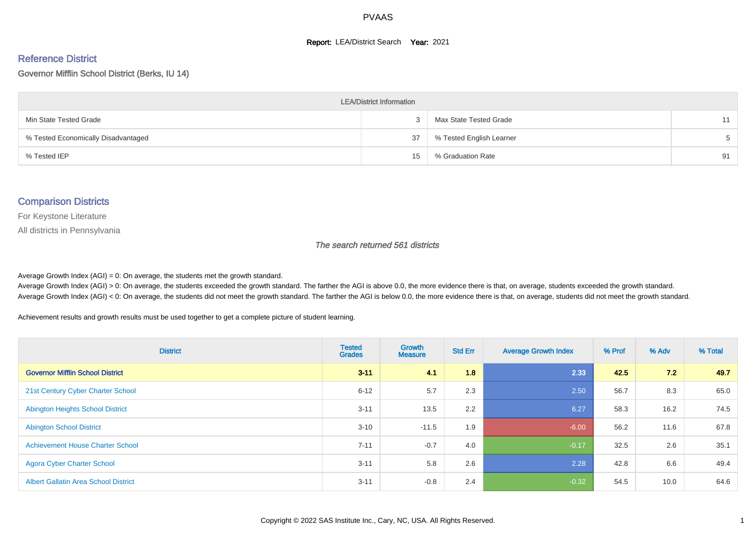#### **Report: LEA/District Search Year: 2021**

#### Reference District

#### Governor Mifflin School District (Berks, IU 14)

| <b>LEA/District Information</b>     |    |                          |       |  |  |  |  |  |  |  |
|-------------------------------------|----|--------------------------|-------|--|--|--|--|--|--|--|
| Min State Tested Grade              |    | Max State Tested Grade   | 11    |  |  |  |  |  |  |  |
| % Tested Economically Disadvantaged | 37 | % Tested English Learner | $5 -$ |  |  |  |  |  |  |  |
| % Tested IEP                        | 15 | % Graduation Rate        | 91    |  |  |  |  |  |  |  |

#### Comparison Districts

For Keystone Literature

All districts in Pennsylvania

The search returned 561 districts

Average Growth Index  $(AGI) = 0$ : On average, the students met the growth standard.

Average Growth Index (AGI) > 0: On average, the students exceeded the growth standard. The farther the AGI is above 0.0, the more evidence there is that, on average, students exceeded the growth standard. Average Growth Index (AGI) < 0: On average, the students did not meet the growth standard. The farther the AGI is below 0.0, the more evidence there is that, on average, students did not meet the growth standard.

Achievement results and growth results must be used together to get a complete picture of student learning.

| <b>District</b>                             | <b>Tested</b><br><b>Grades</b> | Growth<br><b>Measure</b> | <b>Std Err</b> | <b>Average Growth Index</b> | % Prof | % Adv | % Total |
|---------------------------------------------|--------------------------------|--------------------------|----------------|-----------------------------|--------|-------|---------|
| <b>Governor Mifflin School District</b>     | $3 - 11$                       | 41                       | 1.8            | 2.33                        | 42.5   | 7.2   | 49.7    |
| 21st Century Cyber Charter School           | $6 - 12$                       | 5.7                      | 2.3            | 2.50                        | 56.7   | 8.3   | 65.0    |
| <b>Abington Heights School District</b>     | $3 - 11$                       | 13.5                     | 2.2            | 6.27                        | 58.3   | 16.2  | 74.5    |
| <b>Abington School District</b>             | $3 - 10$                       | $-11.5$                  | 1.9            | $-6.00$                     | 56.2   | 11.6  | 67.8    |
| <b>Achievement House Charter School</b>     | $7 - 11$                       | $-0.7$                   | 4.0            | $-0.17$                     | 32.5   | 2.6   | 35.1    |
| <b>Agora Cyber Charter School</b>           | $3 - 11$                       | 5.8                      | 2.6            | 2.28                        | 42.8   | 6.6   | 49.4    |
| <b>Albert Gallatin Area School District</b> | $3 - 11$                       | $-0.8$                   | 2.4            | $-0.32$                     | 54.5   | 10.0  | 64.6    |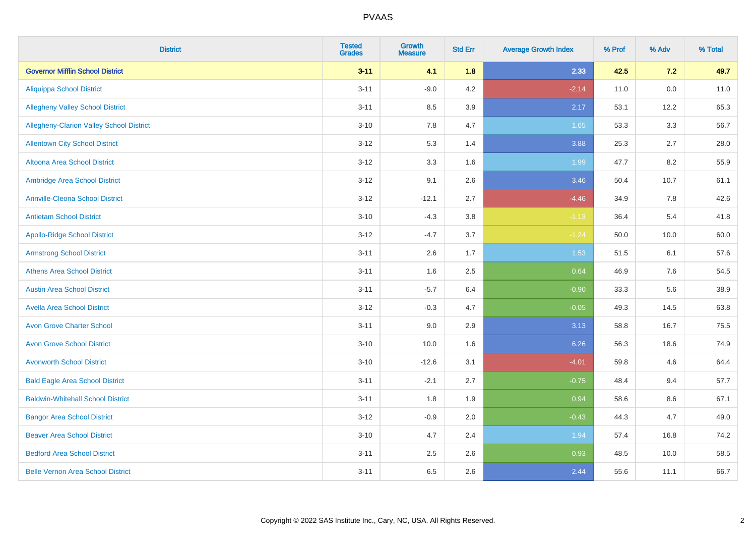| <b>District</b>                          | <b>Tested</b><br><b>Grades</b> | <b>Growth</b><br><b>Measure</b> | <b>Std Err</b> | <b>Average Growth Index</b> | % Prof | % Adv   | % Total |
|------------------------------------------|--------------------------------|---------------------------------|----------------|-----------------------------|--------|---------|---------|
| <b>Governor Mifflin School District</b>  | $3 - 11$                       | 4.1                             | 1.8            | 2.33                        | 42.5   | 7.2     | 49.7    |
| <b>Aliquippa School District</b>         | $3 - 11$                       | $-9.0$                          | 4.2            | $-2.14$                     | 11.0   | $0.0\,$ | 11.0    |
| <b>Allegheny Valley School District</b>  | $3 - 11$                       | 8.5                             | 3.9            | 2.17                        | 53.1   | 12.2    | 65.3    |
| Allegheny-Clarion Valley School District | $3 - 10$                       | 7.8                             | 4.7            | 1.65                        | 53.3   | 3.3     | 56.7    |
| <b>Allentown City School District</b>    | $3 - 12$                       | 5.3                             | 1.4            | 3.88                        | 25.3   | 2.7     | 28.0    |
| <b>Altoona Area School District</b>      | $3 - 12$                       | 3.3                             | 1.6            | 1.99                        | 47.7   | 8.2     | 55.9    |
| Ambridge Area School District            | $3 - 12$                       | 9.1                             | 2.6            | 3.46                        | 50.4   | 10.7    | 61.1    |
| <b>Annville-Cleona School District</b>   | $3 - 12$                       | $-12.1$                         | 2.7            | $-4.46$                     | 34.9   | 7.8     | 42.6    |
| <b>Antietam School District</b>          | $3 - 10$                       | $-4.3$                          | 3.8            | $-1.13$                     | 36.4   | 5.4     | 41.8    |
| <b>Apollo-Ridge School District</b>      | $3 - 12$                       | $-4.7$                          | 3.7            | $-1.24$                     | 50.0   | 10.0    | 60.0    |
| <b>Armstrong School District</b>         | $3 - 11$                       | 2.6                             | 1.7            | 1.53                        | 51.5   | 6.1     | 57.6    |
| <b>Athens Area School District</b>       | $3 - 11$                       | 1.6                             | 2.5            | 0.64                        | 46.9   | 7.6     | 54.5    |
| <b>Austin Area School District</b>       | $3 - 11$                       | $-5.7$                          | 6.4            | $-0.90$                     | 33.3   | 5.6     | 38.9    |
| <b>Avella Area School District</b>       | $3 - 12$                       | $-0.3$                          | 4.7            | $-0.05$                     | 49.3   | 14.5    | 63.8    |
| <b>Avon Grove Charter School</b>         | $3 - 11$                       | 9.0                             | 2.9            | 3.13                        | 58.8   | 16.7    | 75.5    |
| <b>Avon Grove School District</b>        | $3 - 10$                       | 10.0                            | 1.6            | 6.26                        | 56.3   | 18.6    | 74.9    |
| <b>Avonworth School District</b>         | $3 - 10$                       | $-12.6$                         | 3.1            | $-4.01$                     | 59.8   | 4.6     | 64.4    |
| <b>Bald Eagle Area School District</b>   | $3 - 11$                       | $-2.1$                          | 2.7            | $-0.75$                     | 48.4   | 9.4     | 57.7    |
| <b>Baldwin-Whitehall School District</b> | $3 - 11$                       | 1.8                             | 1.9            | 0.94                        | 58.6   | 8.6     | 67.1    |
| <b>Bangor Area School District</b>       | $3 - 12$                       | $-0.9$                          | 2.0            | $-0.43$                     | 44.3   | 4.7     | 49.0    |
| <b>Beaver Area School District</b>       | $3 - 10$                       | 4.7                             | 2.4            | 1.94                        | 57.4   | 16.8    | 74.2    |
| <b>Bedford Area School District</b>      | $3 - 11$                       | 2.5                             | 2.6            | 0.93                        | 48.5   | 10.0    | 58.5    |
| <b>Belle Vernon Area School District</b> | $3 - 11$                       | 6.5                             | 2.6            | 2.44                        | 55.6   | 11.1    | 66.7    |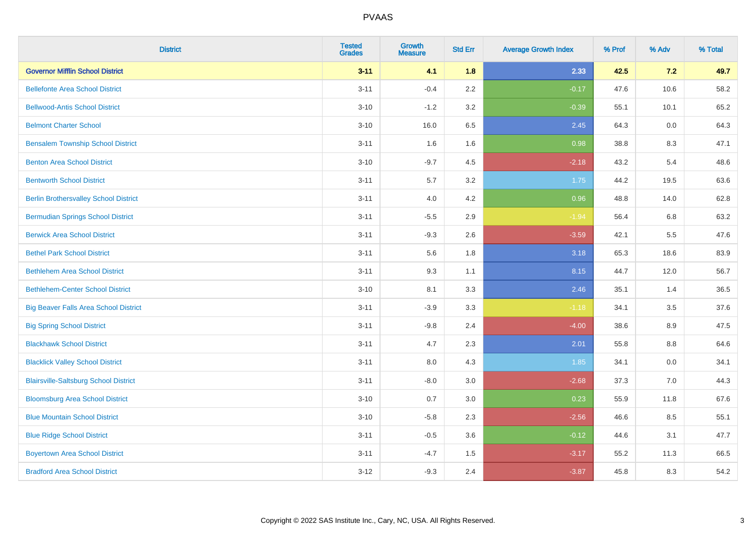| <b>District</b>                              | <b>Tested</b><br><b>Grades</b> | <b>Growth</b><br><b>Measure</b> | <b>Std Err</b> | <b>Average Growth Index</b> | % Prof | % Adv | % Total |
|----------------------------------------------|--------------------------------|---------------------------------|----------------|-----------------------------|--------|-------|---------|
| <b>Governor Mifflin School District</b>      | $3 - 11$                       | 4.1                             | 1.8            | 2.33                        | 42.5   | 7.2   | 49.7    |
| <b>Bellefonte Area School District</b>       | $3 - 11$                       | $-0.4$                          | 2.2            | $-0.17$                     | 47.6   | 10.6  | 58.2    |
| <b>Bellwood-Antis School District</b>        | $3 - 10$                       | $-1.2$                          | 3.2            | $-0.39$                     | 55.1   | 10.1  | 65.2    |
| <b>Belmont Charter School</b>                | $3 - 10$                       | 16.0                            | 6.5            | 2.45                        | 64.3   | 0.0   | 64.3    |
| <b>Bensalem Township School District</b>     | $3 - 11$                       | 1.6                             | 1.6            | 0.98                        | 38.8   | 8.3   | 47.1    |
| <b>Benton Area School District</b>           | $3 - 10$                       | $-9.7$                          | 4.5            | $-2.18$                     | 43.2   | 5.4   | 48.6    |
| <b>Bentworth School District</b>             | $3 - 11$                       | 5.7                             | 3.2            | 1.75                        | 44.2   | 19.5  | 63.6    |
| <b>Berlin Brothersvalley School District</b> | $3 - 11$                       | 4.0                             | 4.2            | 0.96                        | 48.8   | 14.0  | 62.8    |
| <b>Bermudian Springs School District</b>     | $3 - 11$                       | $-5.5$                          | 2.9            | $-1.94$                     | 56.4   | 6.8   | 63.2    |
| <b>Berwick Area School District</b>          | $3 - 11$                       | $-9.3$                          | 2.6            | $-3.59$                     | 42.1   | 5.5   | 47.6    |
| <b>Bethel Park School District</b>           | $3 - 11$                       | 5.6                             | 1.8            | 3.18                        | 65.3   | 18.6  | 83.9    |
| <b>Bethlehem Area School District</b>        | $3 - 11$                       | 9.3                             | 1.1            | 8.15                        | 44.7   | 12.0  | 56.7    |
| <b>Bethlehem-Center School District</b>      | $3 - 10$                       | 8.1                             | 3.3            | 2.46                        | 35.1   | 1.4   | 36.5    |
| <b>Big Beaver Falls Area School District</b> | $3 - 11$                       | $-3.9$                          | 3.3            | $-1.18$                     | 34.1   | 3.5   | 37.6    |
| <b>Big Spring School District</b>            | $3 - 11$                       | $-9.8$                          | 2.4            | $-4.00$                     | 38.6   | 8.9   | 47.5    |
| <b>Blackhawk School District</b>             | $3 - 11$                       | 4.7                             | 2.3            | 2.01                        | 55.8   | 8.8   | 64.6    |
| <b>Blacklick Valley School District</b>      | $3 - 11$                       | 8.0                             | 4.3            | 1.85                        | 34.1   | 0.0   | 34.1    |
| <b>Blairsville-Saltsburg School District</b> | $3 - 11$                       | $-8.0$                          | 3.0            | $-2.68$                     | 37.3   | 7.0   | 44.3    |
| <b>Bloomsburg Area School District</b>       | $3 - 10$                       | 0.7                             | 3.0            | 0.23                        | 55.9   | 11.8  | 67.6    |
| <b>Blue Mountain School District</b>         | $3 - 10$                       | $-5.8$                          | 2.3            | $-2.56$                     | 46.6   | 8.5   | 55.1    |
| <b>Blue Ridge School District</b>            | $3 - 11$                       | $-0.5$                          | 3.6            | $-0.12$                     | 44.6   | 3.1   | 47.7    |
| <b>Boyertown Area School District</b>        | $3 - 11$                       | $-4.7$                          | 1.5            | $-3.17$                     | 55.2   | 11.3  | 66.5    |
| <b>Bradford Area School District</b>         | $3 - 12$                       | $-9.3$                          | 2.4            | $-3.87$                     | 45.8   | 8.3   | 54.2    |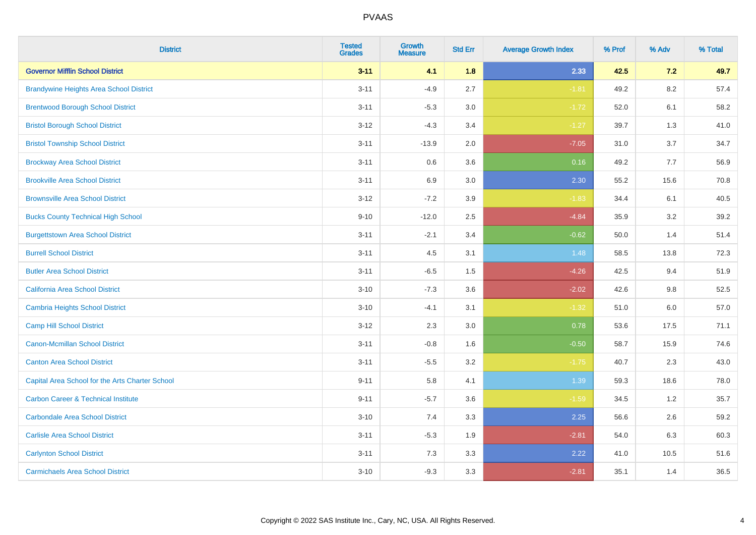| <b>District</b>                                 | <b>Tested</b><br><b>Grades</b> | <b>Growth</b><br><b>Measure</b> | <b>Std Err</b> | <b>Average Growth Index</b> | % Prof | % Adv   | % Total |
|-------------------------------------------------|--------------------------------|---------------------------------|----------------|-----------------------------|--------|---------|---------|
| <b>Governor Mifflin School District</b>         | $3 - 11$                       | 4.1                             | 1.8            | 2.33                        | 42.5   | 7.2     | 49.7    |
| <b>Brandywine Heights Area School District</b>  | $3 - 11$                       | $-4.9$                          | 2.7            | $-1.81$                     | 49.2   | $8.2\,$ | 57.4    |
| <b>Brentwood Borough School District</b>        | $3 - 11$                       | $-5.3$                          | 3.0            | $-1.72$                     | 52.0   | 6.1     | 58.2    |
| <b>Bristol Borough School District</b>          | $3 - 12$                       | $-4.3$                          | 3.4            | $-1.27$                     | 39.7   | 1.3     | 41.0    |
| <b>Bristol Township School District</b>         | $3 - 11$                       | $-13.9$                         | 2.0            | $-7.05$                     | 31.0   | 3.7     | 34.7    |
| <b>Brockway Area School District</b>            | $3 - 11$                       | 0.6                             | 3.6            | 0.16                        | 49.2   | 7.7     | 56.9    |
| <b>Brookville Area School District</b>          | $3 - 11$                       | 6.9                             | 3.0            | 2.30                        | 55.2   | 15.6    | 70.8    |
| <b>Brownsville Area School District</b>         | $3 - 12$                       | $-7.2$                          | 3.9            | $-1.83$                     | 34.4   | 6.1     | 40.5    |
| <b>Bucks County Technical High School</b>       | $9 - 10$                       | $-12.0$                         | 2.5            | $-4.84$                     | 35.9   | 3.2     | 39.2    |
| <b>Burgettstown Area School District</b>        | $3 - 11$                       | $-2.1$                          | 3.4            | $-0.62$                     | 50.0   | 1.4     | 51.4    |
| <b>Burrell School District</b>                  | $3 - 11$                       | 4.5                             | 3.1            | 1.48                        | 58.5   | 13.8    | 72.3    |
| <b>Butler Area School District</b>              | $3 - 11$                       | $-6.5$                          | 1.5            | $-4.26$                     | 42.5   | 9.4     | 51.9    |
| <b>California Area School District</b>          | $3 - 10$                       | $-7.3$                          | 3.6            | $-2.02$                     | 42.6   | $9.8\,$ | 52.5    |
| <b>Cambria Heights School District</b>          | $3 - 10$                       | $-4.1$                          | 3.1            | $-1.32$                     | 51.0   | 6.0     | 57.0    |
| <b>Camp Hill School District</b>                | $3 - 12$                       | 2.3                             | 3.0            | 0.78                        | 53.6   | 17.5    | 71.1    |
| <b>Canon-Mcmillan School District</b>           | $3 - 11$                       | $-0.8$                          | 1.6            | $-0.50$                     | 58.7   | 15.9    | 74.6    |
| <b>Canton Area School District</b>              | $3 - 11$                       | $-5.5$                          | 3.2            | $-1.75$                     | 40.7   | 2.3     | 43.0    |
| Capital Area School for the Arts Charter School | $9 - 11$                       | 5.8                             | 4.1            | 1.39                        | 59.3   | 18.6    | 78.0    |
| <b>Carbon Career &amp; Technical Institute</b>  | $9 - 11$                       | $-5.7$                          | 3.6            | $-1.59$                     | 34.5   | 1.2     | 35.7    |
| <b>Carbondale Area School District</b>          | $3 - 10$                       | 7.4                             | 3.3            | 2.25                        | 56.6   | 2.6     | 59.2    |
| <b>Carlisle Area School District</b>            | $3 - 11$                       | $-5.3$                          | 1.9            | $-2.81$                     | 54.0   | 6.3     | 60.3    |
| <b>Carlynton School District</b>                | $3 - 11$                       | 7.3                             | 3.3            | 2.22                        | 41.0   | 10.5    | 51.6    |
| <b>Carmichaels Area School District</b>         | $3 - 10$                       | $-9.3$                          | 3.3            | $-2.81$                     | 35.1   | 1.4     | 36.5    |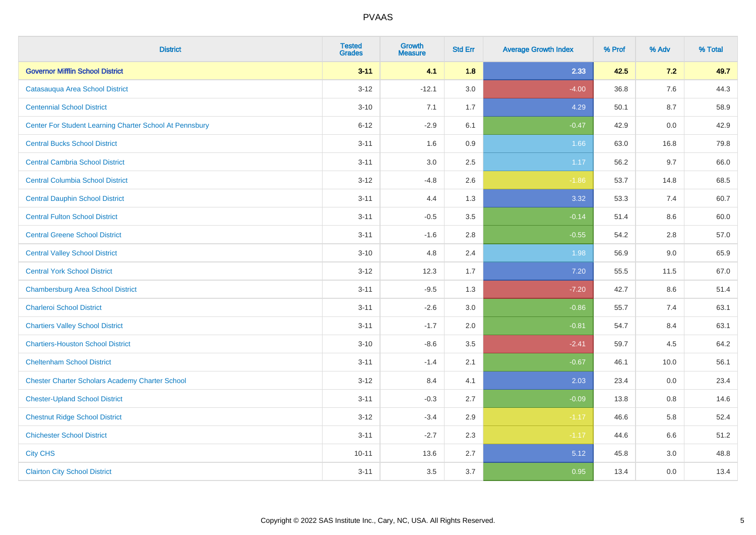| <b>District</b>                                         | <b>Tested</b><br><b>Grades</b> | <b>Growth</b><br><b>Measure</b> | <b>Std Err</b> | <b>Average Growth Index</b> | % Prof | % Adv | % Total |
|---------------------------------------------------------|--------------------------------|---------------------------------|----------------|-----------------------------|--------|-------|---------|
| <b>Governor Mifflin School District</b>                 | $3 - 11$                       | 4.1                             | 1.8            | 2.33                        | 42.5   | 7.2   | 49.7    |
| Catasauqua Area School District                         | $3 - 12$                       | $-12.1$                         | 3.0            | $-4.00$                     | 36.8   | 7.6   | 44.3    |
| <b>Centennial School District</b>                       | $3 - 10$                       | 7.1                             | 1.7            | 4.29                        | 50.1   | 8.7   | 58.9    |
| Center For Student Learning Charter School At Pennsbury | $6 - 12$                       | $-2.9$                          | 6.1            | $-0.47$                     | 42.9   | 0.0   | 42.9    |
| <b>Central Bucks School District</b>                    | $3 - 11$                       | 1.6                             | 0.9            | 1.66                        | 63.0   | 16.8  | 79.8    |
| <b>Central Cambria School District</b>                  | $3 - 11$                       | $3.0\,$                         | 2.5            | 1.17                        | 56.2   | 9.7   | 66.0    |
| <b>Central Columbia School District</b>                 | $3 - 12$                       | $-4.8$                          | 2.6            | $-1.86$                     | 53.7   | 14.8  | 68.5    |
| <b>Central Dauphin School District</b>                  | $3 - 11$                       | 4.4                             | 1.3            | 3.32                        | 53.3   | 7.4   | 60.7    |
| <b>Central Fulton School District</b>                   | $3 - 11$                       | $-0.5$                          | 3.5            | $-0.14$                     | 51.4   | 8.6   | 60.0    |
| <b>Central Greene School District</b>                   | $3 - 11$                       | $-1.6$                          | 2.8            | $-0.55$                     | 54.2   | 2.8   | 57.0    |
| <b>Central Valley School District</b>                   | $3 - 10$                       | 4.8                             | 2.4            | 1.98                        | 56.9   | 9.0   | 65.9    |
| <b>Central York School District</b>                     | $3 - 12$                       | 12.3                            | 1.7            | 7.20                        | 55.5   | 11.5  | 67.0    |
| <b>Chambersburg Area School District</b>                | $3 - 11$                       | $-9.5$                          | 1.3            | $-7.20$                     | 42.7   | 8.6   | 51.4    |
| <b>Charleroi School District</b>                        | $3 - 11$                       | $-2.6$                          | 3.0            | $-0.86$                     | 55.7   | 7.4   | 63.1    |
| <b>Chartiers Valley School District</b>                 | $3 - 11$                       | $-1.7$                          | 2.0            | $-0.81$                     | 54.7   | 8.4   | 63.1    |
| <b>Chartiers-Houston School District</b>                | $3 - 10$                       | $-8.6$                          | 3.5            | $-2.41$                     | 59.7   | 4.5   | 64.2    |
| <b>Cheltenham School District</b>                       | $3 - 11$                       | $-1.4$                          | 2.1            | $-0.67$                     | 46.1   | 10.0  | 56.1    |
| <b>Chester Charter Scholars Academy Charter School</b>  | $3 - 12$                       | 8.4                             | 4.1            | 2.03                        | 23.4   | 0.0   | 23.4    |
| <b>Chester-Upland School District</b>                   | $3 - 11$                       | $-0.3$                          | 2.7            | $-0.09$                     | 13.8   | 0.8   | 14.6    |
| <b>Chestnut Ridge School District</b>                   | $3 - 12$                       | $-3.4$                          | 2.9            | $-1.17$                     | 46.6   | 5.8   | 52.4    |
| <b>Chichester School District</b>                       | $3 - 11$                       | $-2.7$                          | 2.3            | $-1.17$                     | 44.6   | 6.6   | 51.2    |
| <b>City CHS</b>                                         | $10 - 11$                      | 13.6                            | 2.7            | 5.12                        | 45.8   | 3.0   | 48.8    |
| <b>Clairton City School District</b>                    | $3 - 11$                       | 3.5                             | 3.7            | 0.95                        | 13.4   | 0.0   | 13.4    |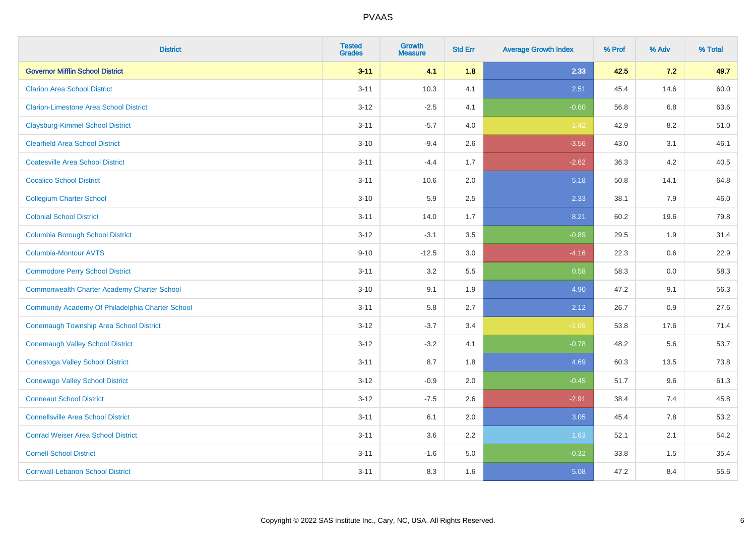| <b>District</b>                                  | <b>Tested</b><br><b>Grades</b> | Growth<br><b>Measure</b> | <b>Std Err</b> | <b>Average Growth Index</b> | % Prof | % Adv   | % Total |
|--------------------------------------------------|--------------------------------|--------------------------|----------------|-----------------------------|--------|---------|---------|
| <b>Governor Mifflin School District</b>          | $3 - 11$                       | 4.1                      | 1.8            | 2.33                        | 42.5   | 7.2     | 49.7    |
| <b>Clarion Area School District</b>              | $3 - 11$                       | 10.3                     | 4.1            | 2.51                        | 45.4   | 14.6    | 60.0    |
| <b>Clarion-Limestone Area School District</b>    | $3-12$                         | $-2.5$                   | 4.1            | $-0.60$                     | 56.8   | 6.8     | 63.6    |
| <b>Claysburg-Kimmel School District</b>          | $3 - 11$                       | $-5.7$                   | 4.0            | $-1.42$                     | 42.9   | $8.2\,$ | 51.0    |
| <b>Clearfield Area School District</b>           | $3 - 10$                       | $-9.4$                   | 2.6            | $-3.56$                     | 43.0   | 3.1     | 46.1    |
| <b>Coatesville Area School District</b>          | $3 - 11$                       | $-4.4$                   | 1.7            | $-2.62$                     | 36.3   | 4.2     | 40.5    |
| <b>Cocalico School District</b>                  | $3 - 11$                       | 10.6                     | 2.0            | 5.18                        | 50.8   | 14.1    | 64.8    |
| <b>Collegium Charter School</b>                  | $3 - 10$                       | 5.9                      | 2.5            | 2.33                        | 38.1   | 7.9     | 46.0    |
| <b>Colonial School District</b>                  | $3 - 11$                       | 14.0                     | 1.7            | 8.21                        | 60.2   | 19.6    | 79.8    |
| <b>Columbia Borough School District</b>          | $3 - 12$                       | $-3.1$                   | 3.5            | $-0.89$                     | 29.5   | 1.9     | 31.4    |
| <b>Columbia-Montour AVTS</b>                     | $9 - 10$                       | $-12.5$                  | 3.0            | $-4.16$                     | 22.3   | 0.6     | 22.9    |
| <b>Commodore Perry School District</b>           | $3 - 11$                       | 3.2                      | 5.5            | 0.58                        | 58.3   | 0.0     | 58.3    |
| Commonwealth Charter Academy Charter School      | $3 - 10$                       | 9.1                      | 1.9            | 4.90                        | 47.2   | 9.1     | 56.3    |
| Community Academy Of Philadelphia Charter School | $3 - 11$                       | 5.8                      | 2.7            | 2.12                        | 26.7   | 0.9     | 27.6    |
| <b>Conemaugh Township Area School District</b>   | $3-12$                         | $-3.7$                   | 3.4            | $-1.09$                     | 53.8   | 17.6    | 71.4    |
| <b>Conemaugh Valley School District</b>          | $3 - 12$                       | $-3.2$                   | 4.1            | $-0.78$                     | 48.2   | 5.6     | 53.7    |
| <b>Conestoga Valley School District</b>          | $3 - 11$                       | 8.7                      | 1.8            | 4.69                        | 60.3   | 13.5    | 73.8    |
| <b>Conewago Valley School District</b>           | $3-12$                         | $-0.9$                   | 2.0            | $-0.45$                     | 51.7   | 9.6     | 61.3    |
| <b>Conneaut School District</b>                  | $3 - 12$                       | $-7.5$                   | 2.6            | $-2.91$                     | 38.4   | 7.4     | 45.8    |
| <b>Connellsville Area School District</b>        | $3 - 11$                       | 6.1                      | 2.0            | 3.05                        | 45.4   | 7.8     | 53.2    |
| <b>Conrad Weiser Area School District</b>        | $3 - 11$                       | 3.6                      | 2.2            | 1.63                        | 52.1   | 2.1     | 54.2    |
| <b>Cornell School District</b>                   | $3 - 11$                       | $-1.6$                   | 5.0            | $-0.32$                     | 33.8   | 1.5     | 35.4    |
| <b>Cornwall-Lebanon School District</b>          | $3 - 11$                       | 8.3                      | 1.6            | 5.08                        | 47.2   | 8.4     | 55.6    |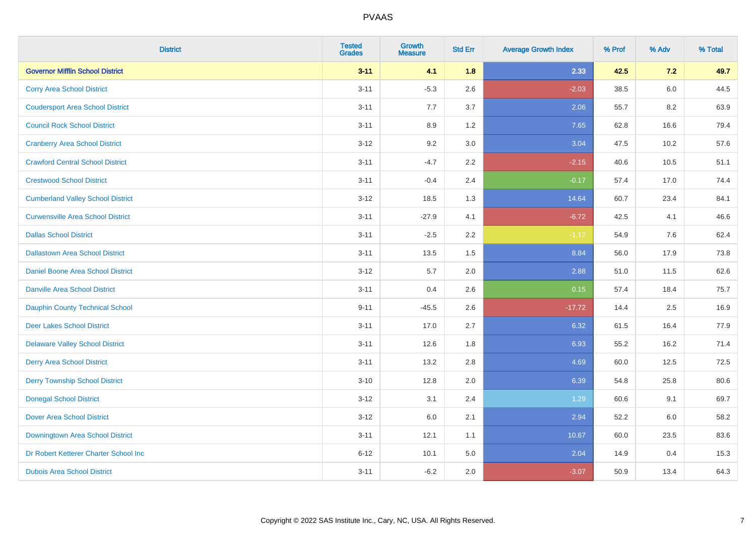| <b>District</b>                          | <b>Tested</b><br><b>Grades</b> | <b>Growth</b><br><b>Measure</b> | <b>Std Err</b> | <b>Average Growth Index</b> | % Prof | % Adv | % Total |
|------------------------------------------|--------------------------------|---------------------------------|----------------|-----------------------------|--------|-------|---------|
| <b>Governor Mifflin School District</b>  | $3 - 11$                       | 4.1                             | 1.8            | 2.33                        | 42.5   | 7.2   | 49.7    |
| <b>Corry Area School District</b>        | $3 - 11$                       | $-5.3$                          | 2.6            | $-2.03$                     | 38.5   | 6.0   | 44.5    |
| <b>Coudersport Area School District</b>  | $3 - 11$                       | 7.7                             | 3.7            | 2.06                        | 55.7   | 8.2   | 63.9    |
| <b>Council Rock School District</b>      | $3 - 11$                       | 8.9                             | 1.2            | 7.65                        | 62.8   | 16.6  | 79.4    |
| <b>Cranberry Area School District</b>    | $3 - 12$                       | 9.2                             | 3.0            | 3.04                        | 47.5   | 10.2  | 57.6    |
| <b>Crawford Central School District</b>  | $3 - 11$                       | $-4.7$                          | 2.2            | $-2.15$                     | 40.6   | 10.5  | 51.1    |
| <b>Crestwood School District</b>         | $3 - 11$                       | $-0.4$                          | 2.4            | $-0.17$                     | 57.4   | 17.0  | 74.4    |
| <b>Cumberland Valley School District</b> | $3 - 12$                       | 18.5                            | 1.3            | 14.64                       | 60.7   | 23.4  | 84.1    |
| <b>Curwensville Area School District</b> | $3 - 11$                       | $-27.9$                         | 4.1            | $-6.72$                     | 42.5   | 4.1   | 46.6    |
| <b>Dallas School District</b>            | $3 - 11$                       | $-2.5$                          | 2.2            | $-1.12$                     | 54.9   | 7.6   | 62.4    |
| <b>Dallastown Area School District</b>   | $3 - 11$                       | 13.5                            | 1.5            | 8.84                        | 56.0   | 17.9  | 73.8    |
| <b>Daniel Boone Area School District</b> | $3 - 12$                       | 5.7                             | 2.0            | 2.88                        | 51.0   | 11.5  | 62.6    |
| Danville Area School District            | $3 - 11$                       | 0.4                             | 2.6            | 0.15                        | 57.4   | 18.4  | 75.7    |
| <b>Dauphin County Technical School</b>   | $9 - 11$                       | $-45.5$                         | 2.6            | $-17.72$                    | 14.4   | 2.5   | 16.9    |
| <b>Deer Lakes School District</b>        | $3 - 11$                       | 17.0                            | 2.7            | 6.32                        | 61.5   | 16.4  | 77.9    |
| <b>Delaware Valley School District</b>   | $3 - 11$                       | 12.6                            | 1.8            | 6.93                        | 55.2   | 16.2  | 71.4    |
| <b>Derry Area School District</b>        | $3 - 11$                       | 13.2                            | 2.8            | 4.69                        | 60.0   | 12.5  | 72.5    |
| <b>Derry Township School District</b>    | $3 - 10$                       | 12.8                            | 2.0            | 6.39                        | 54.8   | 25.8  | 80.6    |
| <b>Donegal School District</b>           | $3 - 12$                       | 3.1                             | 2.4            | 1.29                        | 60.6   | 9.1   | 69.7    |
| <b>Dover Area School District</b>        | $3 - 12$                       | 6.0                             | 2.1            | 2.94                        | 52.2   | 6.0   | 58.2    |
| Downingtown Area School District         | $3 - 11$                       | 12.1                            | 1.1            | 10.67                       | 60.0   | 23.5  | 83.6    |
| Dr Robert Ketterer Charter School Inc    | $6 - 12$                       | 10.1                            | 5.0            | 2.04                        | 14.9   | 0.4   | 15.3    |
| <b>Dubois Area School District</b>       | $3 - 11$                       | $-6.2$                          | 2.0            | $-3.07$                     | 50.9   | 13.4  | 64.3    |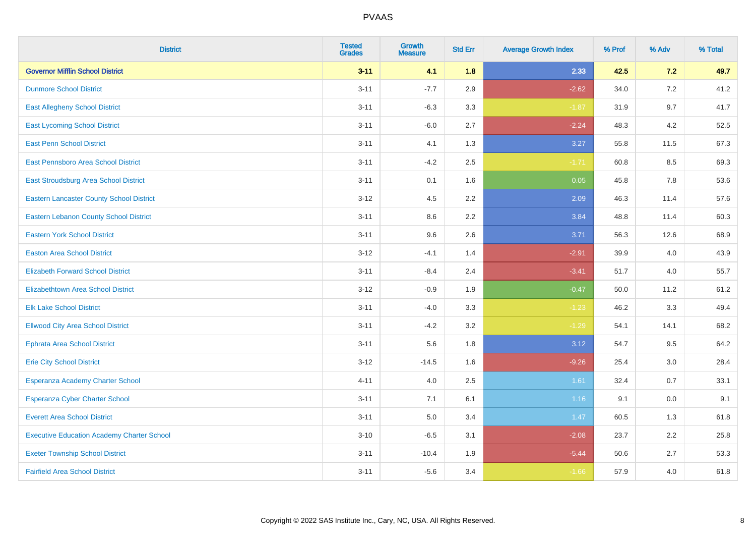| <b>District</b>                                   | <b>Tested</b><br><b>Grades</b> | <b>Growth</b><br><b>Measure</b> | <b>Std Err</b> | <b>Average Growth Index</b> | % Prof | % Adv | % Total |
|---------------------------------------------------|--------------------------------|---------------------------------|----------------|-----------------------------|--------|-------|---------|
| <b>Governor Mifflin School District</b>           | $3 - 11$                       | 4.1                             | 1.8            | 2.33                        | 42.5   | 7.2   | 49.7    |
| <b>Dunmore School District</b>                    | $3 - 11$                       | $-7.7$                          | 2.9            | $-2.62$                     | 34.0   | 7.2   | 41.2    |
| <b>East Allegheny School District</b>             | $3 - 11$                       | $-6.3$                          | 3.3            | $-1.87$                     | 31.9   | 9.7   | 41.7    |
| <b>East Lycoming School District</b>              | $3 - 11$                       | $-6.0$                          | 2.7            | $-2.24$                     | 48.3   | 4.2   | 52.5    |
| <b>East Penn School District</b>                  | $3 - 11$                       | 4.1                             | 1.3            | 3.27                        | 55.8   | 11.5  | 67.3    |
| <b>East Pennsboro Area School District</b>        | $3 - 11$                       | $-4.2$                          | 2.5            | $-1.71$                     | 60.8   | 8.5   | 69.3    |
| East Stroudsburg Area School District             | $3 - 11$                       | 0.1                             | 1.6            | 0.05                        | 45.8   | 7.8   | 53.6    |
| <b>Eastern Lancaster County School District</b>   | $3 - 12$                       | 4.5                             | 2.2            | 2.09                        | 46.3   | 11.4  | 57.6    |
| <b>Eastern Lebanon County School District</b>     | $3 - 11$                       | 8.6                             | 2.2            | 3.84                        | 48.8   | 11.4  | 60.3    |
| <b>Eastern York School District</b>               | $3 - 11$                       | 9.6                             | 2.6            | 3.71                        | 56.3   | 12.6  | 68.9    |
| <b>Easton Area School District</b>                | $3 - 12$                       | $-4.1$                          | 1.4            | $-2.91$                     | 39.9   | 4.0   | 43.9    |
| <b>Elizabeth Forward School District</b>          | $3 - 11$                       | $-8.4$                          | 2.4            | $-3.41$                     | 51.7   | 4.0   | 55.7    |
| <b>Elizabethtown Area School District</b>         | $3 - 12$                       | $-0.9$                          | 1.9            | $-0.47$                     | 50.0   | 11.2  | 61.2    |
| <b>Elk Lake School District</b>                   | $3 - 11$                       | $-4.0$                          | 3.3            | $-1.23$                     | 46.2   | 3.3   | 49.4    |
| <b>Ellwood City Area School District</b>          | $3 - 11$                       | $-4.2$                          | 3.2            | $-1.29$                     | 54.1   | 14.1  | 68.2    |
| <b>Ephrata Area School District</b>               | $3 - 11$                       | 5.6                             | 1.8            | 3.12                        | 54.7   | 9.5   | 64.2    |
| <b>Erie City School District</b>                  | $3 - 12$                       | $-14.5$                         | 1.6            | $-9.26$                     | 25.4   | 3.0   | 28.4    |
| Esperanza Academy Charter School                  | $4 - 11$                       | 4.0                             | 2.5            | 1.61                        | 32.4   | 0.7   | 33.1    |
| <b>Esperanza Cyber Charter School</b>             | $3 - 11$                       | 7.1                             | 6.1            | 1.16                        | 9.1    | 0.0   | 9.1     |
| <b>Everett Area School District</b>               | $3 - 11$                       | 5.0                             | 3.4            | 1.47                        | 60.5   | 1.3   | 61.8    |
| <b>Executive Education Academy Charter School</b> | $3 - 10$                       | $-6.5$                          | 3.1            | $-2.08$                     | 23.7   | 2.2   | 25.8    |
| <b>Exeter Township School District</b>            | $3 - 11$                       | $-10.4$                         | 1.9            | $-5.44$                     | 50.6   | 2.7   | 53.3    |
| <b>Fairfield Area School District</b>             | $3 - 11$                       | $-5.6$                          | 3.4            | $-1.66$                     | 57.9   | 4.0   | 61.8    |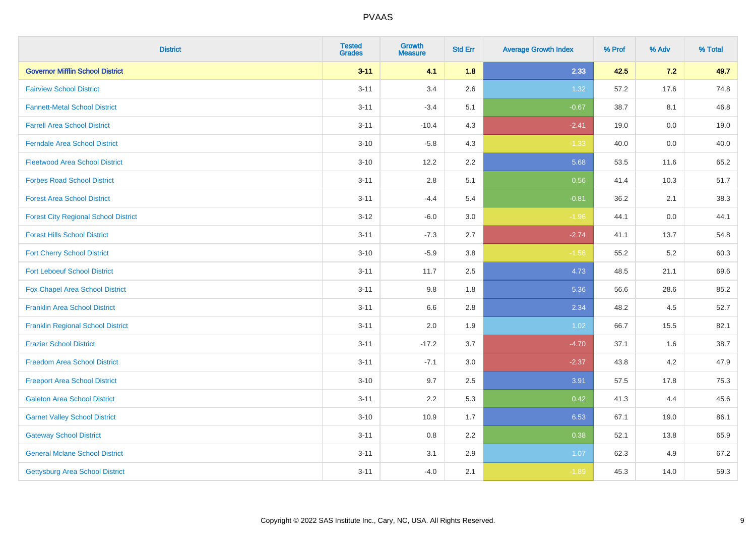| <b>District</b>                             | <b>Tested</b><br><b>Grades</b> | <b>Growth</b><br><b>Measure</b> | <b>Std Err</b> | <b>Average Growth Index</b> | % Prof | % Adv   | % Total |
|---------------------------------------------|--------------------------------|---------------------------------|----------------|-----------------------------|--------|---------|---------|
| <b>Governor Mifflin School District</b>     | $3 - 11$                       | 4.1                             | 1.8            | 2.33                        | 42.5   | 7.2     | 49.7    |
| <b>Fairview School District</b>             | $3 - 11$                       | 3.4                             | 2.6            | 1.32                        | 57.2   | 17.6    | 74.8    |
| <b>Fannett-Metal School District</b>        | $3 - 11$                       | $-3.4$                          | 5.1            | $-0.67$                     | 38.7   | 8.1     | 46.8    |
| <b>Farrell Area School District</b>         | $3 - 11$                       | $-10.4$                         | 4.3            | $-2.41$                     | 19.0   | $0.0\,$ | 19.0    |
| <b>Ferndale Area School District</b>        | $3 - 10$                       | $-5.8$                          | 4.3            | $-1.33$                     | 40.0   | 0.0     | 40.0    |
| <b>Fleetwood Area School District</b>       | $3 - 10$                       | 12.2                            | 2.2            | 5.68                        | 53.5   | 11.6    | 65.2    |
| <b>Forbes Road School District</b>          | $3 - 11$                       | 2.8                             | 5.1            | 0.56                        | 41.4   | 10.3    | 51.7    |
| <b>Forest Area School District</b>          | $3 - 11$                       | $-4.4$                          | 5.4            | $-0.81$                     | 36.2   | 2.1     | 38.3    |
| <b>Forest City Regional School District</b> | $3 - 12$                       | $-6.0$                          | 3.0            | $-1.96$                     | 44.1   | $0.0\,$ | 44.1    |
| <b>Forest Hills School District</b>         | $3 - 11$                       | $-7.3$                          | 2.7            | $-2.74$                     | 41.1   | 13.7    | 54.8    |
| <b>Fort Cherry School District</b>          | $3 - 10$                       | $-5.9$                          | 3.8            | $-1.56$                     | 55.2   | 5.2     | 60.3    |
| <b>Fort Leboeuf School District</b>         | $3 - 11$                       | 11.7                            | 2.5            | 4.73                        | 48.5   | 21.1    | 69.6    |
| Fox Chapel Area School District             | $3 - 11$                       | 9.8                             | 1.8            | 5.36                        | 56.6   | 28.6    | 85.2    |
| <b>Franklin Area School District</b>        | $3 - 11$                       | 6.6                             | 2.8            | 2.34                        | 48.2   | 4.5     | 52.7    |
| <b>Franklin Regional School District</b>    | $3 - 11$                       | 2.0                             | 1.9            | 1.02                        | 66.7   | 15.5    | 82.1    |
| <b>Frazier School District</b>              | $3 - 11$                       | $-17.2$                         | 3.7            | $-4.70$                     | 37.1   | 1.6     | 38.7    |
| <b>Freedom Area School District</b>         | $3 - 11$                       | $-7.1$                          | 3.0            | $-2.37$                     | 43.8   | $4.2\,$ | 47.9    |
| <b>Freeport Area School District</b>        | $3 - 10$                       | 9.7                             | 2.5            | 3.91                        | 57.5   | 17.8    | 75.3    |
| <b>Galeton Area School District</b>         | $3 - 11$                       | 2.2                             | 5.3            | 0.42                        | 41.3   | 4.4     | 45.6    |
| <b>Garnet Valley School District</b>        | $3 - 10$                       | 10.9                            | 1.7            | 6.53                        | 67.1   | 19.0    | 86.1    |
| <b>Gateway School District</b>              | $3 - 11$                       | 0.8                             | 2.2            | 0.38                        | 52.1   | 13.8    | 65.9    |
| <b>General Mclane School District</b>       | $3 - 11$                       | 3.1                             | 2.9            | 1.07                        | 62.3   | 4.9     | 67.2    |
| <b>Gettysburg Area School District</b>      | $3 - 11$                       | $-4.0$                          | 2.1            | $-1.89$                     | 45.3   | 14.0    | 59.3    |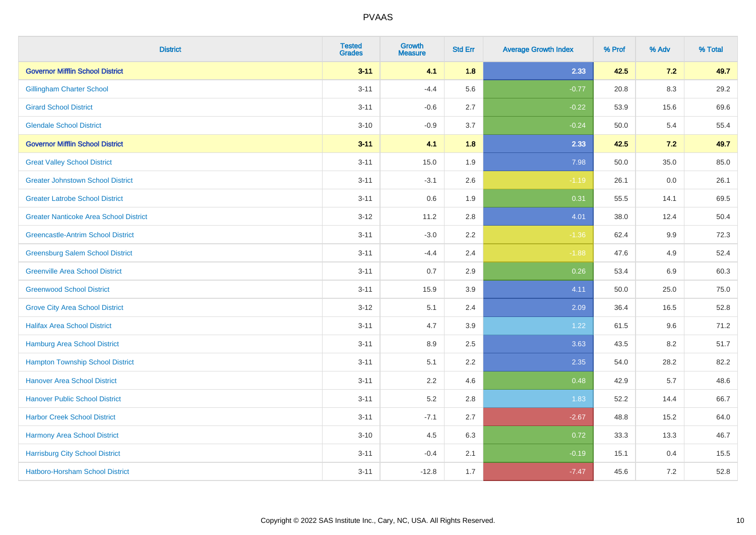| <b>District</b>                               | <b>Tested</b><br><b>Grades</b> | <b>Growth</b><br><b>Measure</b> | <b>Std Err</b> | <b>Average Growth Index</b> | % Prof | % Adv   | % Total |
|-----------------------------------------------|--------------------------------|---------------------------------|----------------|-----------------------------|--------|---------|---------|
| <b>Governor Mifflin School District</b>       | $3 - 11$                       | 4.1                             | 1.8            | 2.33                        | 42.5   | 7.2     | 49.7    |
| <b>Gillingham Charter School</b>              | $3 - 11$                       | $-4.4$                          | 5.6            | $-0.77$                     | 20.8   | $8.3\,$ | 29.2    |
| <b>Girard School District</b>                 | $3 - 11$                       | $-0.6$                          | 2.7            | $-0.22$                     | 53.9   | 15.6    | 69.6    |
| <b>Glendale School District</b>               | $3 - 10$                       | $-0.9$                          | 3.7            | $-0.24$                     | 50.0   | 5.4     | 55.4    |
| <b>Governor Mifflin School District</b>       | $3 - 11$                       | 4.1                             | 1.8            | 2.33                        | 42.5   | 7.2     | 49.7    |
| <b>Great Valley School District</b>           | $3 - 11$                       | 15.0                            | 1.9            | 7.98                        | 50.0   | 35.0    | 85.0    |
| <b>Greater Johnstown School District</b>      | $3 - 11$                       | $-3.1$                          | 2.6            | $-1.19$                     | 26.1   | 0.0     | 26.1    |
| <b>Greater Latrobe School District</b>        | $3 - 11$                       | 0.6                             | 1.9            | 0.31                        | 55.5   | 14.1    | 69.5    |
| <b>Greater Nanticoke Area School District</b> | $3 - 12$                       | 11.2                            | 2.8            | 4.01                        | 38.0   | 12.4    | 50.4    |
| <b>Greencastle-Antrim School District</b>     | $3 - 11$                       | $-3.0$                          | 2.2            | $-1.36$                     | 62.4   | 9.9     | 72.3    |
| <b>Greensburg Salem School District</b>       | $3 - 11$                       | $-4.4$                          | 2.4            | $-1.88$                     | 47.6   | 4.9     | 52.4    |
| <b>Greenville Area School District</b>        | $3 - 11$                       | 0.7                             | 2.9            | 0.26                        | 53.4   | 6.9     | 60.3    |
| <b>Greenwood School District</b>              | $3 - 11$                       | 15.9                            | 3.9            | 4.11                        | 50.0   | 25.0    | 75.0    |
| <b>Grove City Area School District</b>        | $3 - 12$                       | 5.1                             | 2.4            | 2.09                        | 36.4   | 16.5    | 52.8    |
| <b>Halifax Area School District</b>           | $3 - 11$                       | 4.7                             | 3.9            | 1.22                        | 61.5   | 9.6     | 71.2    |
| Hamburg Area School District                  | $3 - 11$                       | 8.9                             | 2.5            | 3.63                        | 43.5   | 8.2     | 51.7    |
| <b>Hampton Township School District</b>       | $3 - 11$                       | 5.1                             | 2.2            | 2.35                        | 54.0   | 28.2    | 82.2    |
| <b>Hanover Area School District</b>           | $3 - 11$                       | 2.2                             | 4.6            | 0.48                        | 42.9   | 5.7     | 48.6    |
| <b>Hanover Public School District</b>         | $3 - 11$                       | 5.2                             | 2.8            | 1.83                        | 52.2   | 14.4    | 66.7    |
| <b>Harbor Creek School District</b>           | $3 - 11$                       | $-7.1$                          | 2.7            | $-2.67$                     | 48.8   | 15.2    | 64.0    |
| <b>Harmony Area School District</b>           | $3 - 10$                       | 4.5                             | 6.3            | 0.72                        | 33.3   | 13.3    | 46.7    |
| <b>Harrisburg City School District</b>        | $3 - 11$                       | $-0.4$                          | 2.1            | $-0.19$                     | 15.1   | 0.4     | 15.5    |
| Hatboro-Horsham School District               | $3 - 11$                       | $-12.8$                         | 1.7            | $-7.47$                     | 45.6   | 7.2     | 52.8    |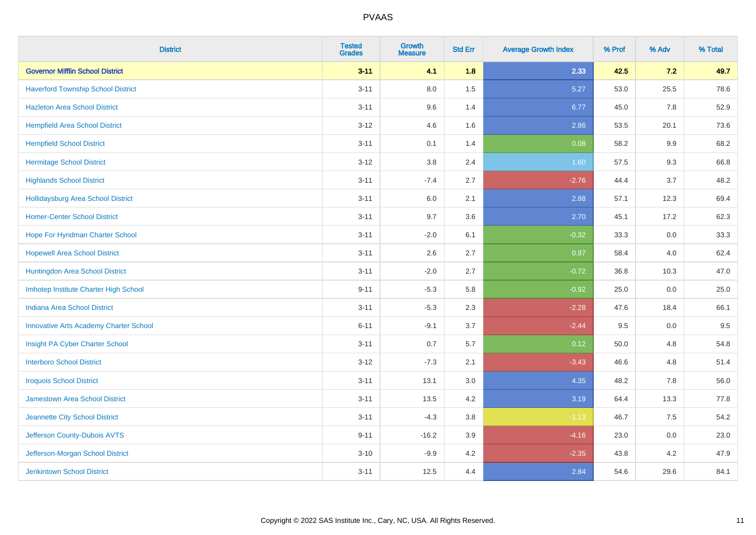| <b>District</b>                               | <b>Tested</b><br><b>Grades</b> | <b>Growth</b><br><b>Measure</b> | <b>Std Err</b> | <b>Average Growth Index</b> | % Prof | % Adv   | % Total |
|-----------------------------------------------|--------------------------------|---------------------------------|----------------|-----------------------------|--------|---------|---------|
| <b>Governor Mifflin School District</b>       | $3 - 11$                       | 4.1                             | 1.8            | 2.33                        | 42.5   | 7.2     | 49.7    |
| <b>Haverford Township School District</b>     | $3 - 11$                       | $8.0\,$                         | 1.5            | 5.27                        | 53.0   | 25.5    | 78.6    |
| <b>Hazleton Area School District</b>          | $3 - 11$                       | 9.6                             | 1.4            | 6.77                        | 45.0   | 7.8     | 52.9    |
| <b>Hempfield Area School District</b>         | $3 - 12$                       | 4.6                             | 1.6            | 2.86                        | 53.5   | 20.1    | 73.6    |
| <b>Hempfield School District</b>              | $3 - 11$                       | 0.1                             | 1.4            | 0.08                        | 58.2   | 9.9     | 68.2    |
| <b>Hermitage School District</b>              | $3 - 12$                       | 3.8                             | 2.4            | 1.60                        | 57.5   | 9.3     | 66.8    |
| <b>Highlands School District</b>              | $3 - 11$                       | $-7.4$                          | 2.7            | $-2.76$                     | 44.4   | 3.7     | 48.2    |
| Hollidaysburg Area School District            | $3 - 11$                       | 6.0                             | 2.1            | 2.88                        | 57.1   | 12.3    | 69.4    |
| <b>Homer-Center School District</b>           | $3 - 11$                       | 9.7                             | 3.6            | 2.70                        | 45.1   | 17.2    | 62.3    |
| Hope For Hyndman Charter School               | $3 - 11$                       | $-2.0$                          | 6.1            | $-0.32$                     | 33.3   | 0.0     | 33.3    |
| <b>Hopewell Area School District</b>          | $3 - 11$                       | 2.6                             | 2.7            | 0.97                        | 58.4   | 4.0     | 62.4    |
| Huntingdon Area School District               | $3 - 11$                       | $-2.0$                          | 2.7            | $-0.72$                     | 36.8   | 10.3    | 47.0    |
| Imhotep Institute Charter High School         | $9 - 11$                       | $-5.3$                          | 5.8            | $-0.92$                     | 25.0   | $0.0\,$ | 25.0    |
| Indiana Area School District                  | $3 - 11$                       | $-5.3$                          | 2.3            | $-2.28$                     | 47.6   | 18.4    | 66.1    |
| <b>Innovative Arts Academy Charter School</b> | $6 - 11$                       | $-9.1$                          | 3.7            | $-2.44$                     | 9.5    | $0.0\,$ | 9.5     |
| Insight PA Cyber Charter School               | $3 - 11$                       | 0.7                             | 5.7            | 0.12                        | 50.0   | 4.8     | 54.8    |
| <b>Interboro School District</b>              | $3 - 12$                       | $-7.3$                          | 2.1            | $-3.43$                     | 46.6   | 4.8     | 51.4    |
| <b>Iroquois School District</b>               | $3 - 11$                       | 13.1                            | 3.0            | 4.35                        | 48.2   | 7.8     | 56.0    |
| <b>Jamestown Area School District</b>         | $3 - 11$                       | 13.5                            | 4.2            | 3.19                        | 64.4   | 13.3    | 77.8    |
| Jeannette City School District                | $3 - 11$                       | $-4.3$                          | $3.8\,$        | $-1.13$                     | 46.7   | 7.5     | 54.2    |
| Jefferson County-Dubois AVTS                  | $9 - 11$                       | $-16.2$                         | 3.9            | $-4.16$                     | 23.0   | 0.0     | 23.0    |
| Jefferson-Morgan School District              | $3 - 10$                       | $-9.9$                          | 4.2            | $-2.35$                     | 43.8   | 4.2     | 47.9    |
| <b>Jenkintown School District</b>             | $3 - 11$                       | 12.5                            | 4.4            | 2.84                        | 54.6   | 29.6    | 84.1    |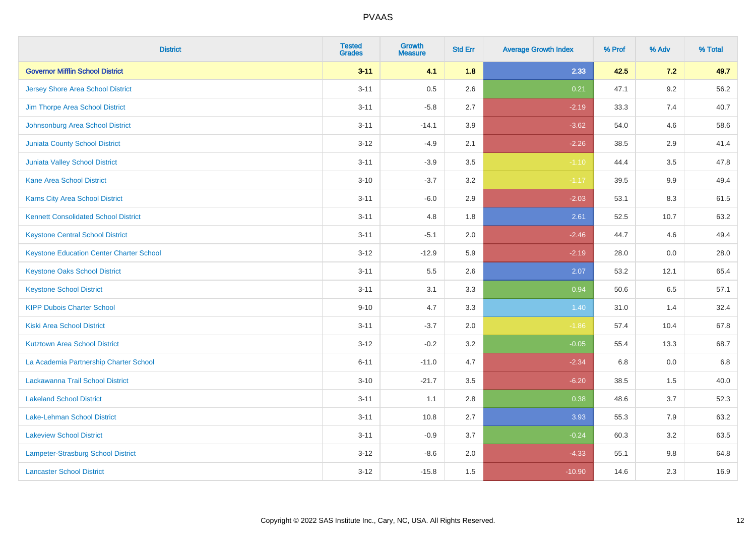| <b>District</b>                                 | <b>Tested</b><br><b>Grades</b> | <b>Growth</b><br><b>Measure</b> | <b>Std Err</b> | <b>Average Growth Index</b> | % Prof | % Adv   | % Total |
|-------------------------------------------------|--------------------------------|---------------------------------|----------------|-----------------------------|--------|---------|---------|
| <b>Governor Mifflin School District</b>         | $3 - 11$                       | 4.1                             | 1.8            | 2.33                        | 42.5   | 7.2     | 49.7    |
| <b>Jersey Shore Area School District</b>        | $3 - 11$                       | 0.5                             | 2.6            | 0.21                        | 47.1   | $9.2\,$ | 56.2    |
| Jim Thorpe Area School District                 | $3 - 11$                       | $-5.8$                          | 2.7            | $-2.19$                     | 33.3   | 7.4     | 40.7    |
| Johnsonburg Area School District                | $3 - 11$                       | $-14.1$                         | 3.9            | $-3.62$                     | 54.0   | 4.6     | 58.6    |
| Juniata County School District                  | $3 - 12$                       | $-4.9$                          | 2.1            | $-2.26$                     | 38.5   | 2.9     | 41.4    |
| <b>Juniata Valley School District</b>           | $3 - 11$                       | $-3.9$                          | 3.5            | $-1.10$                     | 44.4   | 3.5     | 47.8    |
| <b>Kane Area School District</b>                | $3 - 10$                       | $-3.7$                          | 3.2            | $-1.17$                     | 39.5   | 9.9     | 49.4    |
| <b>Karns City Area School District</b>          | $3 - 11$                       | $-6.0$                          | 2.9            | $-2.03$                     | 53.1   | 8.3     | 61.5    |
| <b>Kennett Consolidated School District</b>     | $3 - 11$                       | 4.8                             | 1.8            | 2.61                        | 52.5   | 10.7    | 63.2    |
| <b>Keystone Central School District</b>         | $3 - 11$                       | $-5.1$                          | 2.0            | $-2.46$                     | 44.7   | 4.6     | 49.4    |
| <b>Keystone Education Center Charter School</b> | $3 - 12$                       | $-12.9$                         | 5.9            | $-2.19$                     | 28.0   | 0.0     | 28.0    |
| <b>Keystone Oaks School District</b>            | $3 - 11$                       | 5.5                             | 2.6            | 2.07                        | 53.2   | 12.1    | 65.4    |
| <b>Keystone School District</b>                 | $3 - 11$                       | 3.1                             | 3.3            | 0.94                        | 50.6   | 6.5     | 57.1    |
| <b>KIPP Dubois Charter School</b>               | $9 - 10$                       | 4.7                             | 3.3            | 1.40                        | 31.0   | 1.4     | 32.4    |
| <b>Kiski Area School District</b>               | $3 - 11$                       | $-3.7$                          | 2.0            | $-1.86$                     | 57.4   | 10.4    | 67.8    |
| <b>Kutztown Area School District</b>            | $3 - 12$                       | $-0.2$                          | 3.2            | $-0.05$                     | 55.4   | 13.3    | 68.7    |
| La Academia Partnership Charter School          | $6 - 11$                       | $-11.0$                         | 4.7            | $-2.34$                     | 6.8    | 0.0     | 6.8     |
| Lackawanna Trail School District                | $3 - 10$                       | $-21.7$                         | 3.5            | $-6.20$                     | 38.5   | 1.5     | 40.0    |
| <b>Lakeland School District</b>                 | $3 - 11$                       | 1.1                             | 2.8            | 0.38                        | 48.6   | 3.7     | 52.3    |
| Lake-Lehman School District                     | $3 - 11$                       | 10.8                            | 2.7            | 3.93                        | 55.3   | 7.9     | 63.2    |
| <b>Lakeview School District</b>                 | $3 - 11$                       | $-0.9$                          | 3.7            | $-0.24$                     | 60.3   | 3.2     | 63.5    |
| Lampeter-Strasburg School District              | $3 - 12$                       | $-8.6$                          | 2.0            | $-4.33$                     | 55.1   | $9.8\,$ | 64.8    |
| <b>Lancaster School District</b>                | $3 - 12$                       | $-15.8$                         | 1.5            | $-10.90$                    | 14.6   | 2.3     | 16.9    |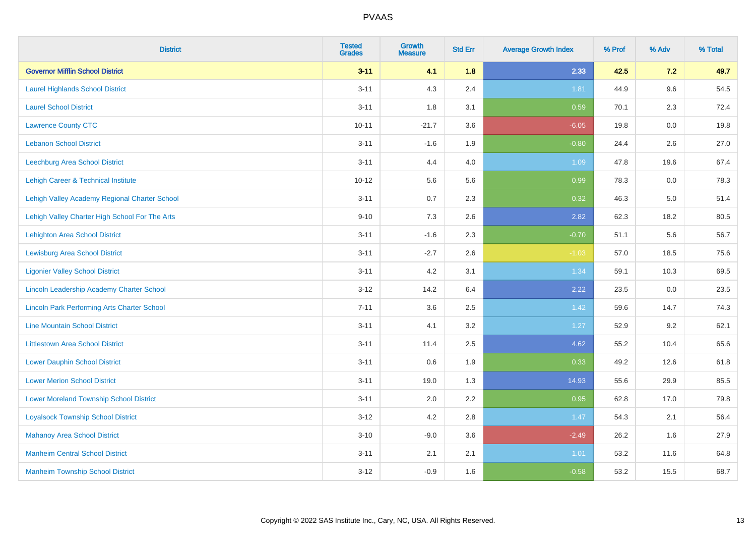| <b>District</b>                                    | <b>Tested</b><br><b>Grades</b> | <b>Growth</b><br><b>Measure</b> | <b>Std Err</b> | <b>Average Growth Index</b> | % Prof | % Adv   | % Total |
|----------------------------------------------------|--------------------------------|---------------------------------|----------------|-----------------------------|--------|---------|---------|
| <b>Governor Mifflin School District</b>            | $3 - 11$                       | 4.1                             | 1.8            | 2.33                        | 42.5   | 7.2     | 49.7    |
| <b>Laurel Highlands School District</b>            | $3 - 11$                       | 4.3                             | 2.4            | 1.81                        | 44.9   | 9.6     | 54.5    |
| <b>Laurel School District</b>                      | $3 - 11$                       | 1.8                             | 3.1            | 0.59                        | 70.1   | 2.3     | 72.4    |
| <b>Lawrence County CTC</b>                         | $10 - 11$                      | $-21.7$                         | 3.6            | $-6.05$                     | 19.8   | $0.0\,$ | 19.8    |
| <b>Lebanon School District</b>                     | $3 - 11$                       | $-1.6$                          | 1.9            | $-0.80$                     | 24.4   | 2.6     | 27.0    |
| Leechburg Area School District                     | $3 - 11$                       | 4.4                             | 4.0            | 1.09                        | 47.8   | 19.6    | 67.4    |
| Lehigh Career & Technical Institute                | $10 - 12$                      | 5.6                             | 5.6            | 0.99                        | 78.3   | 0.0     | 78.3    |
| Lehigh Valley Academy Regional Charter School      | $3 - 11$                       | 0.7                             | 2.3            | 0.32                        | 46.3   | 5.0     | 51.4    |
| Lehigh Valley Charter High School For The Arts     | $9 - 10$                       | 7.3                             | 2.6            | 2.82                        | 62.3   | 18.2    | 80.5    |
| Lehighton Area School District                     | $3 - 11$                       | $-1.6$                          | 2.3            | $-0.70$                     | 51.1   | 5.6     | 56.7    |
| <b>Lewisburg Area School District</b>              | $3 - 11$                       | $-2.7$                          | 2.6            | $-1.03$                     | 57.0   | 18.5    | 75.6    |
| <b>Ligonier Valley School District</b>             | $3 - 11$                       | 4.2                             | 3.1            | 1.34                        | 59.1   | 10.3    | 69.5    |
| Lincoln Leadership Academy Charter School          | $3-12$                         | 14.2                            | 6.4            | 2.22                        | 23.5   | $0.0\,$ | 23.5    |
| <b>Lincoln Park Performing Arts Charter School</b> | $7 - 11$                       | 3.6                             | 2.5            | 1.42                        | 59.6   | 14.7    | 74.3    |
| <b>Line Mountain School District</b>               | $3 - 11$                       | 4.1                             | 3.2            | 1.27                        | 52.9   | 9.2     | 62.1    |
| <b>Littlestown Area School District</b>            | $3 - 11$                       | 11.4                            | 2.5            | 4.62                        | 55.2   | 10.4    | 65.6    |
| <b>Lower Dauphin School District</b>               | $3 - 11$                       | 0.6                             | 1.9            | 0.33                        | 49.2   | 12.6    | 61.8    |
| <b>Lower Merion School District</b>                | $3 - 11$                       | 19.0                            | 1.3            | 14.93                       | 55.6   | 29.9    | 85.5    |
| <b>Lower Moreland Township School District</b>     | $3 - 11$                       | 2.0                             | 2.2            | 0.95                        | 62.8   | 17.0    | 79.8    |
| <b>Loyalsock Township School District</b>          | $3 - 12$                       | 4.2                             | 2.8            | 1.47                        | 54.3   | 2.1     | 56.4    |
| <b>Mahanoy Area School District</b>                | $3 - 10$                       | $-9.0$                          | 3.6            | $-2.49$                     | 26.2   | 1.6     | 27.9    |
| <b>Manheim Central School District</b>             | $3 - 11$                       | 2.1                             | 2.1            | 1.01                        | 53.2   | 11.6    | 64.8    |
| <b>Manheim Township School District</b>            | $3 - 12$                       | $-0.9$                          | 1.6            | $-0.58$                     | 53.2   | 15.5    | 68.7    |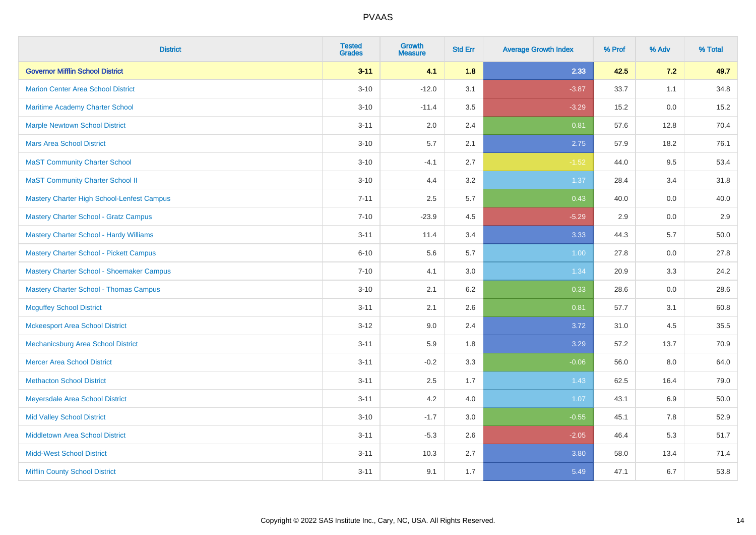| <b>District</b>                                | <b>Tested</b><br><b>Grades</b> | <b>Growth</b><br><b>Measure</b> | <b>Std Err</b> | <b>Average Growth Index</b> | % Prof | % Adv | % Total |
|------------------------------------------------|--------------------------------|---------------------------------|----------------|-----------------------------|--------|-------|---------|
| <b>Governor Mifflin School District</b>        | $3 - 11$                       | 4.1                             | 1.8            | 2.33                        | 42.5   | 7.2   | 49.7    |
| <b>Marion Center Area School District</b>      | $3 - 10$                       | $-12.0$                         | 3.1            | $-3.87$                     | 33.7   | 1.1   | 34.8    |
| Maritime Academy Charter School                | $3 - 10$                       | $-11.4$                         | 3.5            | $-3.29$                     | 15.2   | 0.0   | 15.2    |
| <b>Marple Newtown School District</b>          | $3 - 11$                       | 2.0                             | 2.4            | 0.81                        | 57.6   | 12.8  | 70.4    |
| <b>Mars Area School District</b>               | $3 - 10$                       | 5.7                             | 2.1            | 2.75                        | 57.9   | 18.2  | 76.1    |
| <b>MaST Community Charter School</b>           | $3 - 10$                       | $-4.1$                          | 2.7            | $-1.52$                     | 44.0   | 9.5   | 53.4    |
| <b>MaST Community Charter School II</b>        | $3 - 10$                       | 4.4                             | 3.2            | 1.37                        | 28.4   | 3.4   | 31.8    |
| Mastery Charter High School-Lenfest Campus     | $7 - 11$                       | 2.5                             | 5.7            | 0.43                        | 40.0   | 0.0   | 40.0    |
| <b>Mastery Charter School - Gratz Campus</b>   | $7 - 10$                       | $-23.9$                         | 4.5            | $-5.29$                     | 2.9    | 0.0   | 2.9     |
| <b>Mastery Charter School - Hardy Williams</b> | $3 - 11$                       | 11.4                            | 3.4            | 3.33                        | 44.3   | 5.7   | 50.0    |
| <b>Mastery Charter School - Pickett Campus</b> | $6 - 10$                       | 5.6                             | 5.7            | 1.00                        | 27.8   | 0.0   | 27.8    |
| Mastery Charter School - Shoemaker Campus      | $7 - 10$                       | 4.1                             | 3.0            | 1.34                        | 20.9   | 3.3   | 24.2    |
| <b>Mastery Charter School - Thomas Campus</b>  | $3 - 10$                       | 2.1                             | 6.2            | 0.33                        | 28.6   | 0.0   | 28.6    |
| <b>Mcguffey School District</b>                | $3 - 11$                       | 2.1                             | 2.6            | 0.81                        | 57.7   | 3.1   | 60.8    |
| <b>Mckeesport Area School District</b>         | $3 - 12$                       | 9.0                             | 2.4            | 3.72                        | 31.0   | 4.5   | 35.5    |
| Mechanicsburg Area School District             | $3 - 11$                       | 5.9                             | 1.8            | 3.29                        | 57.2   | 13.7  | 70.9    |
| <b>Mercer Area School District</b>             | $3 - 11$                       | $-0.2$                          | 3.3            | $-0.06$                     | 56.0   | 8.0   | 64.0    |
| <b>Methacton School District</b>               | $3 - 11$                       | 2.5                             | 1.7            | 1.43                        | 62.5   | 16.4  | 79.0    |
| Meyersdale Area School District                | $3 - 11$                       | 4.2                             | 4.0            | 1.07                        | 43.1   | 6.9   | 50.0    |
| <b>Mid Valley School District</b>              | $3 - 10$                       | $-1.7$                          | 3.0            | $-0.55$                     | 45.1   | 7.8   | 52.9    |
| Middletown Area School District                | $3 - 11$                       | $-5.3$                          | 2.6            | $-2.05$                     | 46.4   | 5.3   | 51.7    |
| <b>Midd-West School District</b>               | $3 - 11$                       | 10.3                            | 2.7            | 3.80                        | 58.0   | 13.4  | 71.4    |
| <b>Mifflin County School District</b>          | $3 - 11$                       | 9.1                             | 1.7            | 5.49                        | 47.1   | 6.7   | 53.8    |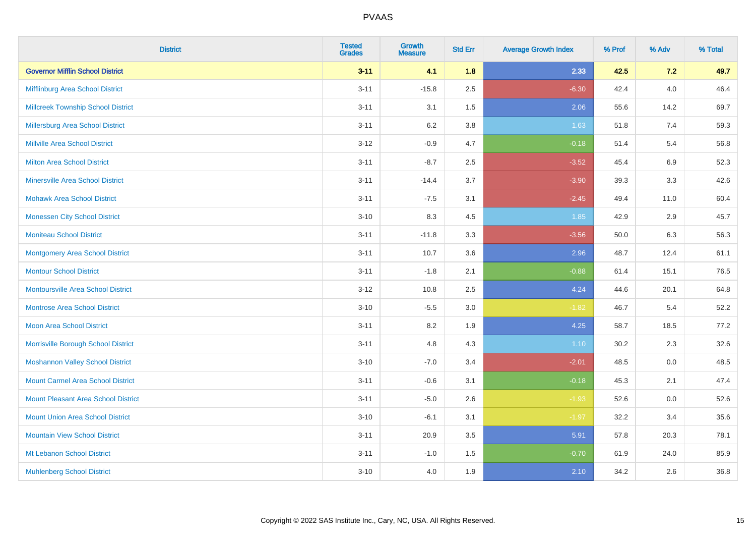| <b>District</b>                           | <b>Tested</b><br><b>Grades</b> | <b>Growth</b><br><b>Measure</b> | <b>Std Err</b> | <b>Average Growth Index</b> | % Prof | % Adv   | % Total |
|-------------------------------------------|--------------------------------|---------------------------------|----------------|-----------------------------|--------|---------|---------|
| <b>Governor Mifflin School District</b>   | $3 - 11$                       | 4.1                             | 1.8            | 2.33                        | 42.5   | 7.2     | 49.7    |
| Mifflinburg Area School District          | $3 - 11$                       | $-15.8$                         | 2.5            | $-6.30$                     | 42.4   | $4.0\,$ | 46.4    |
| <b>Millcreek Township School District</b> | $3 - 11$                       | 3.1                             | 1.5            | 2.06                        | 55.6   | 14.2    | 69.7    |
| Millersburg Area School District          | $3 - 11$                       | 6.2                             | 3.8            | 1.63                        | 51.8   | 7.4     | 59.3    |
| <b>Millville Area School District</b>     | $3 - 12$                       | $-0.9$                          | 4.7            | $-0.18$                     | 51.4   | 5.4     | 56.8    |
| <b>Milton Area School District</b>        | $3 - 11$                       | $-8.7$                          | 2.5            | $-3.52$                     | 45.4   | 6.9     | 52.3    |
| <b>Minersville Area School District</b>   | $3 - 11$                       | $-14.4$                         | 3.7            | $-3.90$                     | 39.3   | 3.3     | 42.6    |
| <b>Mohawk Area School District</b>        | $3 - 11$                       | $-7.5$                          | 3.1            | $-2.45$                     | 49.4   | 11.0    | 60.4    |
| <b>Monessen City School District</b>      | $3 - 10$                       | 8.3                             | 4.5            | 1.85                        | 42.9   | 2.9     | 45.7    |
| <b>Moniteau School District</b>           | $3 - 11$                       | $-11.8$                         | 3.3            | $-3.56$                     | 50.0   | 6.3     | 56.3    |
| Montgomery Area School District           | $3 - 11$                       | 10.7                            | 3.6            | 2.96                        | 48.7   | 12.4    | 61.1    |
| <b>Montour School District</b>            | $3 - 11$                       | $-1.8$                          | 2.1            | $-0.88$                     | 61.4   | 15.1    | 76.5    |
| <b>Montoursville Area School District</b> | $3 - 12$                       | 10.8                            | 2.5            | 4.24                        | 44.6   | 20.1    | 64.8    |
| <b>Montrose Area School District</b>      | $3 - 10$                       | $-5.5$                          | $3.0\,$        | $-1.82$                     | 46.7   | 5.4     | 52.2    |
| Moon Area School District                 | $3 - 11$                       | 8.2                             | 1.9            | 4.25                        | 58.7   | 18.5    | 77.2    |
| Morrisville Borough School District       | $3 - 11$                       | 4.8                             | 4.3            | 1.10                        | 30.2   | 2.3     | 32.6    |
| <b>Moshannon Valley School District</b>   | $3 - 10$                       | $-7.0$                          | 3.4            | $-2.01$                     | 48.5   | $0.0\,$ | 48.5    |
| <b>Mount Carmel Area School District</b>  | $3 - 11$                       | $-0.6$                          | 3.1            | $-0.18$                     | 45.3   | 2.1     | 47.4    |
| Mount Pleasant Area School District       | $3 - 11$                       | $-5.0$                          | 2.6            | $-1.93$                     | 52.6   | 0.0     | 52.6    |
| <b>Mount Union Area School District</b>   | $3 - 10$                       | $-6.1$                          | 3.1            | $-1.97$                     | 32.2   | 3.4     | 35.6    |
| <b>Mountain View School District</b>      | $3 - 11$                       | 20.9                            | 3.5            | 5.91                        | 57.8   | 20.3    | 78.1    |
| Mt Lebanon School District                | $3 - 11$                       | $-1.0$                          | 1.5            | $-0.70$                     | 61.9   | 24.0    | 85.9    |
| <b>Muhlenberg School District</b>         | $3 - 10$                       | 4.0                             | 1.9            | 2.10                        | 34.2   | 2.6     | 36.8    |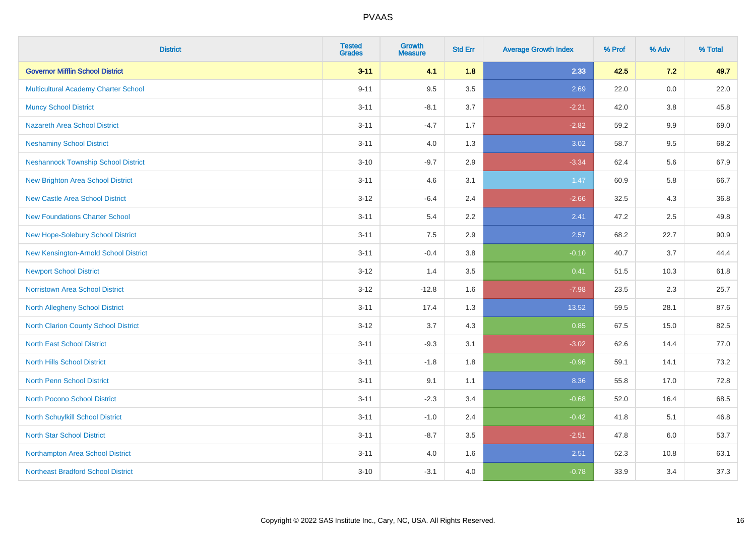| <b>District</b>                            | <b>Tested</b><br><b>Grades</b> | <b>Growth</b><br><b>Measure</b> | <b>Std Err</b> | <b>Average Growth Index</b> | % Prof | % Adv   | % Total |
|--------------------------------------------|--------------------------------|---------------------------------|----------------|-----------------------------|--------|---------|---------|
| <b>Governor Mifflin School District</b>    | $3 - 11$                       | 4.1                             | 1.8            | 2.33                        | 42.5   | 7.2     | 49.7    |
| Multicultural Academy Charter School       | $9 - 11$                       | 9.5                             | 3.5            | 2.69                        | 22.0   | $0.0\,$ | 22.0    |
| <b>Muncy School District</b>               | $3 - 11$                       | $-8.1$                          | 3.7            | $-2.21$                     | 42.0   | 3.8     | 45.8    |
| <b>Nazareth Area School District</b>       | $3 - 11$                       | $-4.7$                          | 1.7            | $-2.82$                     | 59.2   | $9.9\,$ | 69.0    |
| <b>Neshaminy School District</b>           | $3 - 11$                       | 4.0                             | 1.3            | 3.02                        | 58.7   | 9.5     | 68.2    |
| <b>Neshannock Township School District</b> | $3 - 10$                       | $-9.7$                          | 2.9            | $-3.34$                     | 62.4   | 5.6     | 67.9    |
| <b>New Brighton Area School District</b>   | $3 - 11$                       | 4.6                             | 3.1            | 1.47                        | 60.9   | 5.8     | 66.7    |
| <b>New Castle Area School District</b>     | $3 - 12$                       | $-6.4$                          | 2.4            | $-2.66$                     | 32.5   | 4.3     | 36.8    |
| <b>New Foundations Charter School</b>      | $3 - 11$                       | 5.4                             | 2.2            | 2.41                        | 47.2   | 2.5     | 49.8    |
| New Hope-Solebury School District          | $3 - 11$                       | 7.5                             | 2.9            | 2.57                        | 68.2   | 22.7    | 90.9    |
| New Kensington-Arnold School District      | $3 - 11$                       | $-0.4$                          | 3.8            | $-0.10$                     | 40.7   | 3.7     | 44.4    |
| <b>Newport School District</b>             | $3-12$                         | 1.4                             | 3.5            | 0.41                        | 51.5   | 10.3    | 61.8    |
| Norristown Area School District            | $3 - 12$                       | $-12.8$                         | 1.6            | $-7.98$                     | 23.5   | $2.3\,$ | 25.7    |
| North Allegheny School District            | $3 - 11$                       | 17.4                            | 1.3            | 13.52                       | 59.5   | 28.1    | 87.6    |
| North Clarion County School District       | $3-12$                         | 3.7                             | 4.3            | 0.85                        | 67.5   | 15.0    | 82.5    |
| <b>North East School District</b>          | $3 - 11$                       | $-9.3$                          | 3.1            | $-3.02$                     | 62.6   | 14.4    | 77.0    |
| <b>North Hills School District</b>         | $3 - 11$                       | $-1.8$                          | 1.8            | $-0.96$                     | 59.1   | 14.1    | 73.2    |
| North Penn School District                 | $3 - 11$                       | 9.1                             | 1.1            | 8.36                        | 55.8   | 17.0    | 72.8    |
| <b>North Pocono School District</b>        | $3 - 11$                       | $-2.3$                          | 3.4            | $-0.68$                     | 52.0   | 16.4    | 68.5    |
| North Schuylkill School District           | $3 - 11$                       | $-1.0$                          | 2.4            | $-0.42$                     | 41.8   | 5.1     | 46.8    |
| <b>North Star School District</b>          | $3 - 11$                       | $-8.7$                          | 3.5            | $-2.51$                     | 47.8   | 6.0     | 53.7    |
| Northampton Area School District           | $3 - 11$                       | 4.0                             | 1.6            | 2.51                        | 52.3   | 10.8    | 63.1    |
| <b>Northeast Bradford School District</b>  | $3 - 10$                       | $-3.1$                          | 4.0            | $-0.78$                     | 33.9   | 3.4     | 37.3    |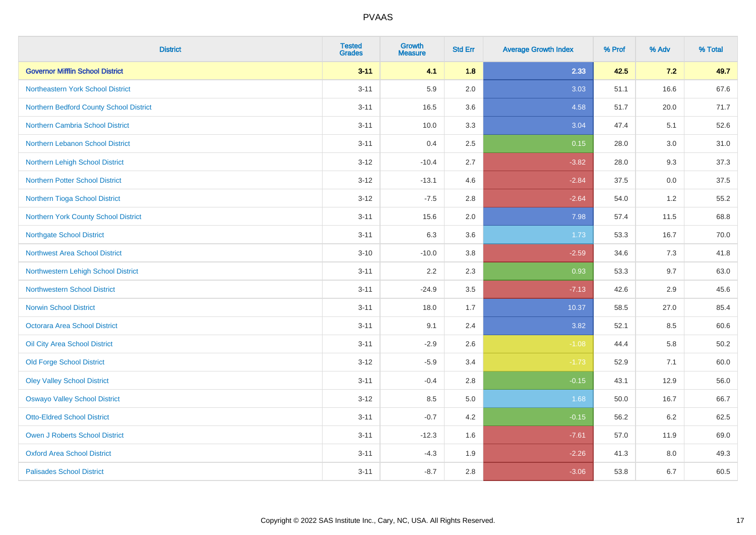| <b>District</b>                         | <b>Tested</b><br><b>Grades</b> | <b>Growth</b><br><b>Measure</b> | <b>Std Err</b> | <b>Average Growth Index</b> | % Prof | % Adv | % Total |
|-----------------------------------------|--------------------------------|---------------------------------|----------------|-----------------------------|--------|-------|---------|
| <b>Governor Mifflin School District</b> | $3 - 11$                       | 4.1                             | 1.8            | 2.33                        | 42.5   | 7.2   | 49.7    |
| Northeastern York School District       | $3 - 11$                       | 5.9                             | 2.0            | 3.03                        | 51.1   | 16.6  | 67.6    |
| Northern Bedford County School District | $3 - 11$                       | 16.5                            | 3.6            | 4.58                        | 51.7   | 20.0  | 71.7    |
| Northern Cambria School District        | $3 - 11$                       | 10.0                            | 3.3            | 3.04                        | 47.4   | 5.1   | 52.6    |
| Northern Lebanon School District        | $3 - 11$                       | 0.4                             | 2.5            | 0.15                        | 28.0   | 3.0   | 31.0    |
| Northern Lehigh School District         | $3 - 12$                       | $-10.4$                         | 2.7            | $-3.82$                     | 28.0   | 9.3   | 37.3    |
| <b>Northern Potter School District</b>  | $3 - 12$                       | $-13.1$                         | 4.6            | $-2.84$                     | 37.5   | 0.0   | 37.5    |
| Northern Tioga School District          | $3 - 12$                       | $-7.5$                          | 2.8            | $-2.64$                     | 54.0   | 1.2   | 55.2    |
| Northern York County School District    | $3 - 11$                       | 15.6                            | 2.0            | 7.98                        | 57.4   | 11.5  | 68.8    |
| <b>Northgate School District</b>        | $3 - 11$                       | 6.3                             | 3.6            | 1.73                        | 53.3   | 16.7  | 70.0    |
| Northwest Area School District          | $3 - 10$                       | $-10.0$                         | 3.8            | $-2.59$                     | 34.6   | 7.3   | 41.8    |
| Northwestern Lehigh School District     | $3 - 11$                       | 2.2                             | 2.3            | 0.93                        | 53.3   | 9.7   | 63.0    |
| <b>Northwestern School District</b>     | $3 - 11$                       | $-24.9$                         | 3.5            | $-7.13$                     | 42.6   | 2.9   | 45.6    |
| <b>Norwin School District</b>           | $3 - 11$                       | 18.0                            | 1.7            | 10.37                       | 58.5   | 27.0  | 85.4    |
| Octorara Area School District           | $3 - 11$                       | 9.1                             | 2.4            | 3.82                        | 52.1   | 8.5   | 60.6    |
| Oil City Area School District           | $3 - 11$                       | $-2.9$                          | 2.6            | $-1.08$                     | 44.4   | 5.8   | 50.2    |
| <b>Old Forge School District</b>        | $3 - 12$                       | $-5.9$                          | 3.4            | $-1.73$                     | 52.9   | 7.1   | 60.0    |
| <b>Oley Valley School District</b>      | $3 - 11$                       | $-0.4$                          | 2.8            | $-0.15$                     | 43.1   | 12.9  | 56.0    |
| <b>Oswayo Valley School District</b>    | $3 - 12$                       | 8.5                             | $5.0\,$        | 1.68                        | 50.0   | 16.7  | 66.7    |
| <b>Otto-Eldred School District</b>      | $3 - 11$                       | $-0.7$                          | 4.2            | $-0.15$                     | 56.2   | 6.2   | 62.5    |
| <b>Owen J Roberts School District</b>   | $3 - 11$                       | $-12.3$                         | 1.6            | $-7.61$                     | 57.0   | 11.9  | 69.0    |
| <b>Oxford Area School District</b>      | $3 - 11$                       | $-4.3$                          | 1.9            | $-2.26$                     | 41.3   | 8.0   | 49.3    |
| <b>Palisades School District</b>        | $3 - 11$                       | $-8.7$                          | 2.8            | $-3.06$                     | 53.8   | 6.7   | 60.5    |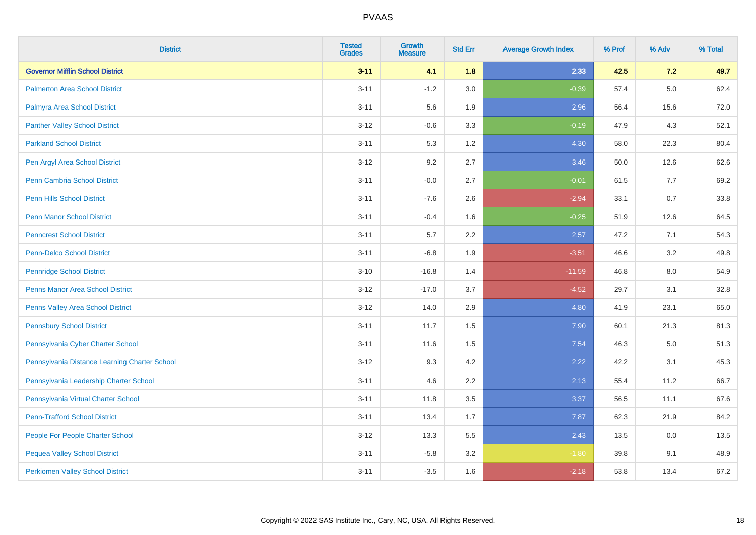| <b>District</b>                               | <b>Tested</b><br><b>Grades</b> | <b>Growth</b><br><b>Measure</b> | <b>Std Err</b> | <b>Average Growth Index</b> | % Prof | % Adv   | % Total |
|-----------------------------------------------|--------------------------------|---------------------------------|----------------|-----------------------------|--------|---------|---------|
| <b>Governor Mifflin School District</b>       | $3 - 11$                       | 4.1                             | 1.8            | 2.33                        | 42.5   | 7.2     | 49.7    |
| <b>Palmerton Area School District</b>         | $3 - 11$                       | $-1.2$                          | $3.0\,$        | $-0.39$                     | 57.4   | $5.0\,$ | 62.4    |
| Palmyra Area School District                  | $3 - 11$                       | 5.6                             | 1.9            | 2.96                        | 56.4   | 15.6    | 72.0    |
| <b>Panther Valley School District</b>         | $3 - 12$                       | $-0.6$                          | 3.3            | $-0.19$                     | 47.9   | 4.3     | 52.1    |
| <b>Parkland School District</b>               | $3 - 11$                       | 5.3                             | 1.2            | 4.30                        | 58.0   | 22.3    | 80.4    |
| Pen Argyl Area School District                | $3 - 12$                       | 9.2                             | 2.7            | 3.46                        | 50.0   | 12.6    | 62.6    |
| Penn Cambria School District                  | $3 - 11$                       | $-0.0$                          | 2.7            | $-0.01$                     | 61.5   | 7.7     | 69.2    |
| <b>Penn Hills School District</b>             | $3 - 11$                       | $-7.6$                          | 2.6            | $-2.94$                     | 33.1   | 0.7     | 33.8    |
| <b>Penn Manor School District</b>             | $3 - 11$                       | $-0.4$                          | 1.6            | $-0.25$                     | 51.9   | 12.6    | 64.5    |
| <b>Penncrest School District</b>              | $3 - 11$                       | 5.7                             | 2.2            | 2.57                        | 47.2   | 7.1     | 54.3    |
| <b>Penn-Delco School District</b>             | $3 - 11$                       | $-6.8$                          | 1.9            | $-3.51$                     | 46.6   | 3.2     | 49.8    |
| <b>Pennridge School District</b>              | $3 - 10$                       | $-16.8$                         | 1.4            | $-11.59$                    | 46.8   | 8.0     | 54.9    |
| Penns Manor Area School District              | $3-12$                         | $-17.0$                         | 3.7            | $-4.52$                     | 29.7   | 3.1     | 32.8    |
| Penns Valley Area School District             | $3 - 12$                       | 14.0                            | 2.9            | 4.80                        | 41.9   | 23.1    | 65.0    |
| <b>Pennsbury School District</b>              | $3 - 11$                       | 11.7                            | 1.5            | 7.90                        | 60.1   | 21.3    | 81.3    |
| Pennsylvania Cyber Charter School             | $3 - 11$                       | 11.6                            | 1.5            | 7.54                        | 46.3   | 5.0     | 51.3    |
| Pennsylvania Distance Learning Charter School | $3 - 12$                       | 9.3                             | 4.2            | 2.22                        | 42.2   | 3.1     | 45.3    |
| Pennsylvania Leadership Charter School        | $3 - 11$                       | 4.6                             | 2.2            | 2.13                        | 55.4   | 11.2    | 66.7    |
| Pennsylvania Virtual Charter School           | $3 - 11$                       | 11.8                            | $3.5\,$        | 3.37                        | 56.5   | 11.1    | 67.6    |
| <b>Penn-Trafford School District</b>          | $3 - 11$                       | 13.4                            | 1.7            | 7.87                        | 62.3   | 21.9    | 84.2    |
| People For People Charter School              | $3 - 12$                       | 13.3                            | 5.5            | 2.43                        | 13.5   | 0.0     | 13.5    |
| <b>Pequea Valley School District</b>          | $3 - 11$                       | $-5.8$                          | 3.2            | $-1.80$                     | 39.8   | 9.1     | 48.9    |
| <b>Perkiomen Valley School District</b>       | $3 - 11$                       | $-3.5$                          | 1.6            | $-2.18$                     | 53.8   | 13.4    | 67.2    |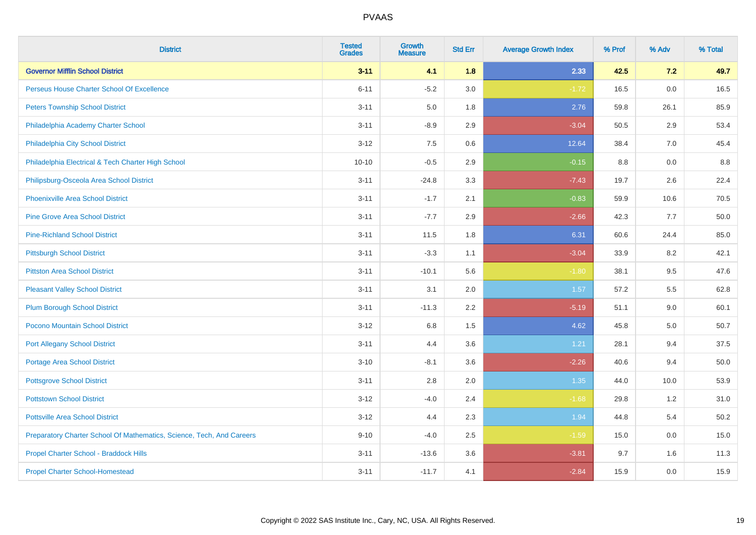| <b>District</b>                                                       | <b>Tested</b><br><b>Grades</b> | <b>Growth</b><br><b>Measure</b> | <b>Std Err</b> | <b>Average Growth Index</b> | % Prof | % Adv | % Total |
|-----------------------------------------------------------------------|--------------------------------|---------------------------------|----------------|-----------------------------|--------|-------|---------|
| <b>Governor Mifflin School District</b>                               | $3 - 11$                       | 4.1                             | 1.8            | 2.33                        | 42.5   | $7.2$ | 49.7    |
| Perseus House Charter School Of Excellence                            | $6 - 11$                       | $-5.2$                          | 3.0            | $-1.72$                     | 16.5   | 0.0   | 16.5    |
| <b>Peters Township School District</b>                                | $3 - 11$                       | 5.0                             | 1.8            | 2.76                        | 59.8   | 26.1  | 85.9    |
| Philadelphia Academy Charter School                                   | $3 - 11$                       | $-8.9$                          | 2.9            | $-3.04$                     | 50.5   | 2.9   | 53.4    |
| Philadelphia City School District                                     | $3 - 12$                       | 7.5                             | 0.6            | 12.64                       | 38.4   | 7.0   | 45.4    |
| Philadelphia Electrical & Tech Charter High School                    | $10 - 10$                      | $-0.5$                          | 2.9            | $-0.15$                     | 8.8    | 0.0   | 8.8     |
| Philipsburg-Osceola Area School District                              | $3 - 11$                       | $-24.8$                         | 3.3            | $-7.43$                     | 19.7   | 2.6   | 22.4    |
| <b>Phoenixville Area School District</b>                              | $3 - 11$                       | $-1.7$                          | 2.1            | $-0.83$                     | 59.9   | 10.6  | 70.5    |
| <b>Pine Grove Area School District</b>                                | $3 - 11$                       | $-7.7$                          | 2.9            | $-2.66$                     | 42.3   | 7.7   | 50.0    |
| <b>Pine-Richland School District</b>                                  | $3 - 11$                       | 11.5                            | 1.8            | 6.31                        | 60.6   | 24.4  | 85.0    |
| <b>Pittsburgh School District</b>                                     | $3 - 11$                       | $-3.3$                          | 1.1            | $-3.04$                     | 33.9   | 8.2   | 42.1    |
| <b>Pittston Area School District</b>                                  | $3 - 11$                       | $-10.1$                         | 5.6            | $-1.80$                     | 38.1   | 9.5   | 47.6    |
| <b>Pleasant Valley School District</b>                                | $3 - 11$                       | 3.1                             | 2.0            | 1.57                        | 57.2   | 5.5   | 62.8    |
| <b>Plum Borough School District</b>                                   | $3 - 11$                       | $-11.3$                         | 2.2            | $-5.19$                     | 51.1   | 9.0   | 60.1    |
| Pocono Mountain School District                                       | $3 - 12$                       | 6.8                             | 1.5            | 4.62                        | 45.8   | 5.0   | 50.7    |
| <b>Port Allegany School District</b>                                  | $3 - 11$                       | 4.4                             | 3.6            | 1.21                        | 28.1   | 9.4   | 37.5    |
| <b>Portage Area School District</b>                                   | $3 - 10$                       | $-8.1$                          | 3.6            | $-2.26$                     | 40.6   | 9.4   | 50.0    |
| <b>Pottsgrove School District</b>                                     | $3 - 11$                       | 2.8                             | 2.0            | 1.35                        | 44.0   | 10.0  | 53.9    |
| <b>Pottstown School District</b>                                      | $3 - 12$                       | $-4.0$                          | 2.4            | $-1.68$                     | 29.8   | 1.2   | 31.0    |
| <b>Pottsville Area School District</b>                                | $3 - 12$                       | 4.4                             | 2.3            | 1.94                        | 44.8   | 5.4   | 50.2    |
| Preparatory Charter School Of Mathematics, Science, Tech, And Careers | $9 - 10$                       | $-4.0$                          | 2.5            | $-1.59$                     | 15.0   | 0.0   | 15.0    |
| Propel Charter School - Braddock Hills                                | $3 - 11$                       | $-13.6$                         | 3.6            | $-3.81$                     | 9.7    | 1.6   | 11.3    |
| <b>Propel Charter School-Homestead</b>                                | $3 - 11$                       | $-11.7$                         | 4.1            | $-2.84$                     | 15.9   | 0.0   | 15.9    |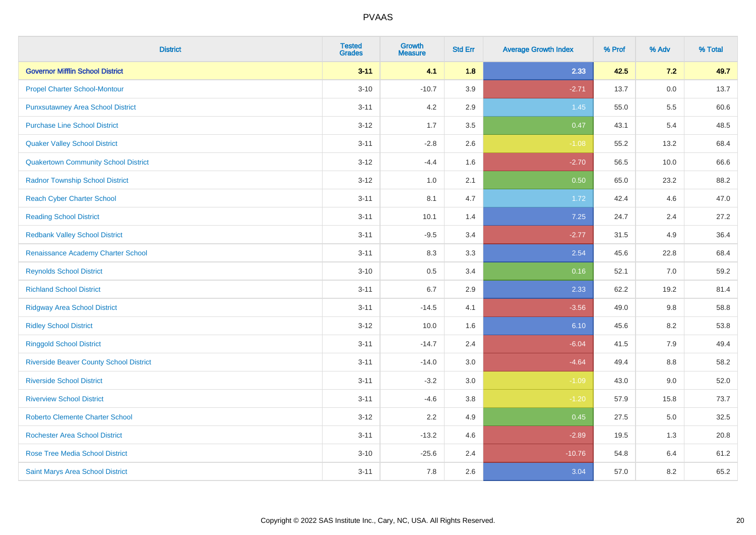| <b>District</b>                                | <b>Tested</b><br><b>Grades</b> | Growth<br><b>Measure</b> | <b>Std Err</b> | <b>Average Growth Index</b> | % Prof | % Adv   | % Total |
|------------------------------------------------|--------------------------------|--------------------------|----------------|-----------------------------|--------|---------|---------|
| <b>Governor Mifflin School District</b>        | $3 - 11$                       | 4.1                      | 1.8            | 2.33                        | 42.5   | 7.2     | 49.7    |
| <b>Propel Charter School-Montour</b>           | $3 - 10$                       | $-10.7$                  | 3.9            | $-2.71$                     | 13.7   | 0.0     | 13.7    |
| <b>Punxsutawney Area School District</b>       | $3 - 11$                       | 4.2                      | 2.9            | 1.45                        | 55.0   | $5.5\,$ | 60.6    |
| <b>Purchase Line School District</b>           | $3 - 12$                       | 1.7                      | 3.5            | 0.47                        | 43.1   | 5.4     | 48.5    |
| <b>Quaker Valley School District</b>           | $3 - 11$                       | $-2.8$                   | 2.6            | $-1.08$                     | 55.2   | 13.2    | 68.4    |
| <b>Quakertown Community School District</b>    | $3 - 12$                       | $-4.4$                   | 1.6            | $-2.70$                     | 56.5   | 10.0    | 66.6    |
| <b>Radnor Township School District</b>         | $3 - 12$                       | 1.0                      | 2.1            | 0.50                        | 65.0   | 23.2    | 88.2    |
| <b>Reach Cyber Charter School</b>              | $3 - 11$                       | 8.1                      | 4.7            | 1.72                        | 42.4   | 4.6     | 47.0    |
| <b>Reading School District</b>                 | $3 - 11$                       | 10.1                     | 1.4            | 7.25                        | 24.7   | 2.4     | 27.2    |
| <b>Redbank Valley School District</b>          | $3 - 11$                       | $-9.5$                   | 3.4            | $-2.77$                     | 31.5   | 4.9     | 36.4    |
| Renaissance Academy Charter School             | $3 - 11$                       | 8.3                      | 3.3            | 2.54                        | 45.6   | 22.8    | 68.4    |
| <b>Reynolds School District</b>                | $3 - 10$                       | 0.5                      | 3.4            | 0.16                        | 52.1   | 7.0     | 59.2    |
| <b>Richland School District</b>                | $3 - 11$                       | 6.7                      | 2.9            | 2.33                        | 62.2   | 19.2    | 81.4    |
| <b>Ridgway Area School District</b>            | $3 - 11$                       | $-14.5$                  | 4.1            | $-3.56$                     | 49.0   | 9.8     | 58.8    |
| <b>Ridley School District</b>                  | $3 - 12$                       | 10.0                     | 1.6            | 6.10                        | 45.6   | 8.2     | 53.8    |
| <b>Ringgold School District</b>                | $3 - 11$                       | $-14.7$                  | 2.4            | $-6.04$                     | 41.5   | 7.9     | 49.4    |
| <b>Riverside Beaver County School District</b> | $3 - 11$                       | $-14.0$                  | 3.0            | $-4.64$                     | 49.4   | 8.8     | 58.2    |
| <b>Riverside School District</b>               | $3 - 11$                       | $-3.2$                   | 3.0            | $-1.09$                     | 43.0   | 9.0     | 52.0    |
| <b>Riverview School District</b>               | $3 - 11$                       | $-4.6$                   | $3.8\,$        | $-1.20$                     | 57.9   | 15.8    | 73.7    |
| <b>Roberto Clemente Charter School</b>         | $3 - 12$                       | 2.2                      | 4.9            | 0.45                        | 27.5   | 5.0     | 32.5    |
| <b>Rochester Area School District</b>          | $3 - 11$                       | $-13.2$                  | 4.6            | $-2.89$                     | 19.5   | 1.3     | 20.8    |
| <b>Rose Tree Media School District</b>         | $3 - 10$                       | $-25.6$                  | 2.4            | $-10.76$                    | 54.8   | 6.4     | 61.2    |
| <b>Saint Marys Area School District</b>        | $3 - 11$                       | 7.8                      | 2.6            | 3.04                        | 57.0   | 8.2     | 65.2    |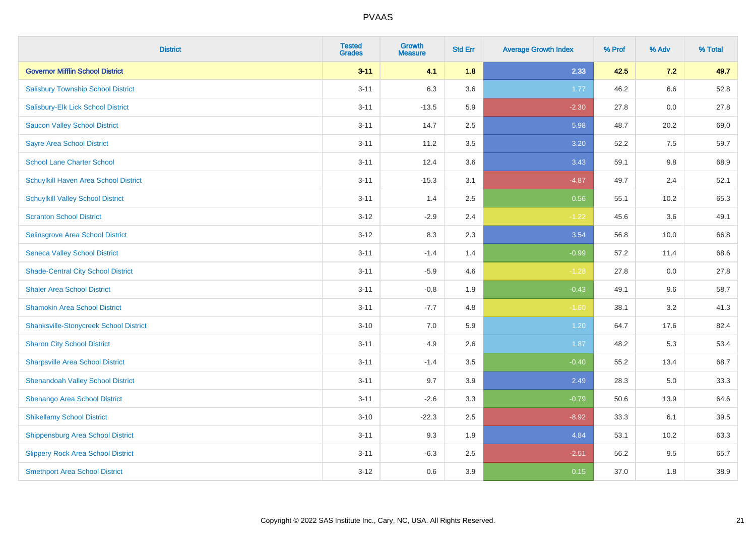| <b>District</b>                               | <b>Tested</b><br><b>Grades</b> | <b>Growth</b><br><b>Measure</b> | <b>Std Err</b> | <b>Average Growth Index</b> | % Prof | % Adv   | % Total |
|-----------------------------------------------|--------------------------------|---------------------------------|----------------|-----------------------------|--------|---------|---------|
| <b>Governor Mifflin School District</b>       | $3 - 11$                       | 4.1                             | 1.8            | 2.33                        | 42.5   | 7.2     | 49.7    |
| <b>Salisbury Township School District</b>     | $3 - 11$                       | 6.3                             | 3.6            | 1.77                        | 46.2   | $6.6\,$ | 52.8    |
| Salisbury-Elk Lick School District            | $3 - 11$                       | $-13.5$                         | 5.9            | $-2.30$                     | 27.8   | 0.0     | 27.8    |
| <b>Saucon Valley School District</b>          | $3 - 11$                       | 14.7                            | 2.5            | 5.98                        | 48.7   | 20.2    | 69.0    |
| <b>Sayre Area School District</b>             | $3 - 11$                       | 11.2                            | 3.5            | 3.20                        | 52.2   | 7.5     | 59.7    |
| <b>School Lane Charter School</b>             | $3 - 11$                       | 12.4                            | 3.6            | 3.43                        | 59.1   | 9.8     | 68.9    |
| Schuylkill Haven Area School District         | $3 - 11$                       | $-15.3$                         | 3.1            | $-4.87$                     | 49.7   | 2.4     | 52.1    |
| <b>Schuylkill Valley School District</b>      | $3 - 11$                       | 1.4                             | 2.5            | 0.56                        | 55.1   | 10.2    | 65.3    |
| <b>Scranton School District</b>               | $3 - 12$                       | $-2.9$                          | 2.4            | $-1.22$                     | 45.6   | 3.6     | 49.1    |
| Selinsgrove Area School District              | $3 - 12$                       | 8.3                             | 2.3            | 3.54                        | 56.8   | 10.0    | 66.8    |
| <b>Seneca Valley School District</b>          | $3 - 11$                       | $-1.4$                          | 1.4            | $-0.99$                     | 57.2   | 11.4    | 68.6    |
| <b>Shade-Central City School District</b>     | $3 - 11$                       | $-5.9$                          | 4.6            | $-1.28$                     | 27.8   | 0.0     | 27.8    |
| <b>Shaler Area School District</b>            | $3 - 11$                       | $-0.8$                          | 1.9            | $-0.43$                     | 49.1   | 9.6     | 58.7    |
| <b>Shamokin Area School District</b>          | $3 - 11$                       | $-7.7$                          | 4.8            | $-1.60$                     | 38.1   | 3.2     | 41.3    |
| <b>Shanksville-Stonycreek School District</b> | $3 - 10$                       | 7.0                             | 5.9            | 1.20                        | 64.7   | 17.6    | 82.4    |
| <b>Sharon City School District</b>            | $3 - 11$                       | 4.9                             | 2.6            | 1.87                        | 48.2   | 5.3     | 53.4    |
| <b>Sharpsville Area School District</b>       | $3 - 11$                       | $-1.4$                          | 3.5            | $-0.40$                     | 55.2   | 13.4    | 68.7    |
| <b>Shenandoah Valley School District</b>      | $3 - 11$                       | 9.7                             | 3.9            | 2.49                        | 28.3   | 5.0     | 33.3    |
| Shenango Area School District                 | $3 - 11$                       | $-2.6$                          | 3.3            | $-0.79$                     | 50.6   | 13.9    | 64.6    |
| <b>Shikellamy School District</b>             | $3 - 10$                       | $-22.3$                         | 2.5            | $-8.92$                     | 33.3   | 6.1     | 39.5    |
| <b>Shippensburg Area School District</b>      | $3 - 11$                       | 9.3                             | 1.9            | 4.84                        | 53.1   | 10.2    | 63.3    |
| <b>Slippery Rock Area School District</b>     | $3 - 11$                       | $-6.3$                          | 2.5            | $-2.51$                     | 56.2   | 9.5     | 65.7    |
| <b>Smethport Area School District</b>         | $3 - 12$                       | 0.6                             | 3.9            | 0.15                        | 37.0   | 1.8     | 38.9    |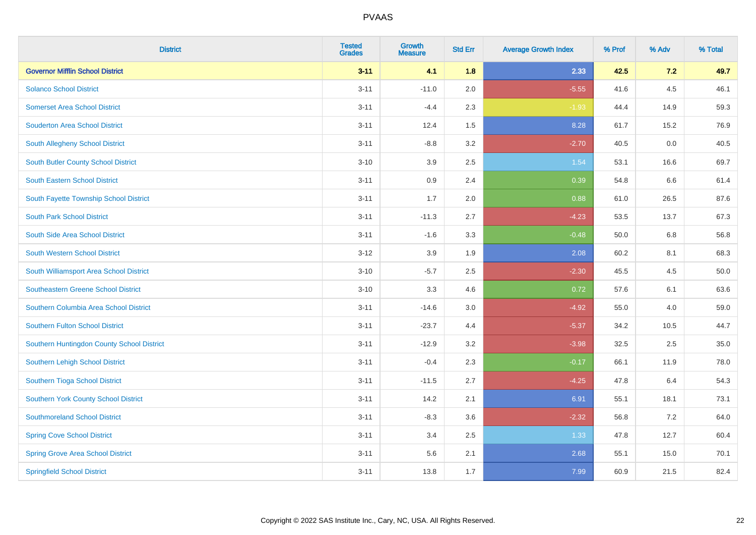| <b>District</b>                            | <b>Tested</b><br><b>Grades</b> | <b>Growth</b><br><b>Measure</b> | <b>Std Err</b> | <b>Average Growth Index</b> | % Prof | % Adv | % Total |
|--------------------------------------------|--------------------------------|---------------------------------|----------------|-----------------------------|--------|-------|---------|
| <b>Governor Mifflin School District</b>    | $3 - 11$                       | 4.1                             | 1.8            | 2.33                        | 42.5   | 7.2   | 49.7    |
| <b>Solanco School District</b>             | $3 - 11$                       | $-11.0$                         | 2.0            | $-5.55$                     | 41.6   | 4.5   | 46.1    |
| <b>Somerset Area School District</b>       | $3 - 11$                       | $-4.4$                          | 2.3            | $-1.93$                     | 44.4   | 14.9  | 59.3    |
| <b>Souderton Area School District</b>      | $3 - 11$                       | 12.4                            | 1.5            | 8.28                        | 61.7   | 15.2  | 76.9    |
| South Allegheny School District            | $3 - 11$                       | $-8.8$                          | 3.2            | $-2.70$                     | 40.5   | 0.0   | 40.5    |
| South Butler County School District        | $3 - 10$                       | 3.9                             | 2.5            | 1.54                        | 53.1   | 16.6  | 69.7    |
| <b>South Eastern School District</b>       | $3 - 11$                       | 0.9                             | 2.4            | 0.39                        | 54.8   | 6.6   | 61.4    |
| South Fayette Township School District     | $3 - 11$                       | 1.7                             | 2.0            | 0.88                        | 61.0   | 26.5  | 87.6    |
| <b>South Park School District</b>          | $3 - 11$                       | $-11.3$                         | 2.7            | $-4.23$                     | 53.5   | 13.7  | 67.3    |
| South Side Area School District            | $3 - 11$                       | $-1.6$                          | 3.3            | $-0.48$                     | 50.0   | 6.8   | 56.8    |
| South Western School District              | $3 - 12$                       | 3.9                             | 1.9            | 2.08                        | 60.2   | 8.1   | 68.3    |
| South Williamsport Area School District    | $3 - 10$                       | $-5.7$                          | 2.5            | $-2.30$                     | 45.5   | 4.5   | 50.0    |
| Southeastern Greene School District        | $3 - 10$                       | 3.3                             | 4.6            | 0.72                        | 57.6   | 6.1   | 63.6    |
| Southern Columbia Area School District     | $3 - 11$                       | $-14.6$                         | 3.0            | $-4.92$                     | 55.0   | 4.0   | 59.0    |
| Southern Fulton School District            | $3 - 11$                       | $-23.7$                         | 4.4            | $-5.37$                     | 34.2   | 10.5  | 44.7    |
| Southern Huntingdon County School District | $3 - 11$                       | $-12.9$                         | 3.2            | $-3.98$                     | 32.5   | 2.5   | 35.0    |
| Southern Lehigh School District            | $3 - 11$                       | $-0.4$                          | 2.3            | $-0.17$                     | 66.1   | 11.9  | 78.0    |
| Southern Tioga School District             | $3 - 11$                       | $-11.5$                         | 2.7            | $-4.25$                     | 47.8   | 6.4   | 54.3    |
| Southern York County School District       | $3 - 11$                       | 14.2                            | 2.1            | 6.91                        | 55.1   | 18.1  | 73.1    |
| <b>Southmoreland School District</b>       | $3 - 11$                       | $-8.3$                          | 3.6            | $-2.32$                     | 56.8   | 7.2   | 64.0    |
| <b>Spring Cove School District</b>         | $3 - 11$                       | 3.4                             | 2.5            | 1.33                        | 47.8   | 12.7  | 60.4    |
| <b>Spring Grove Area School District</b>   | $3 - 11$                       | 5.6                             | 2.1            | 2.68                        | 55.1   | 15.0  | 70.1    |
| <b>Springfield School District</b>         | $3 - 11$                       | 13.8                            | 1.7            | 7.99                        | 60.9   | 21.5  | 82.4    |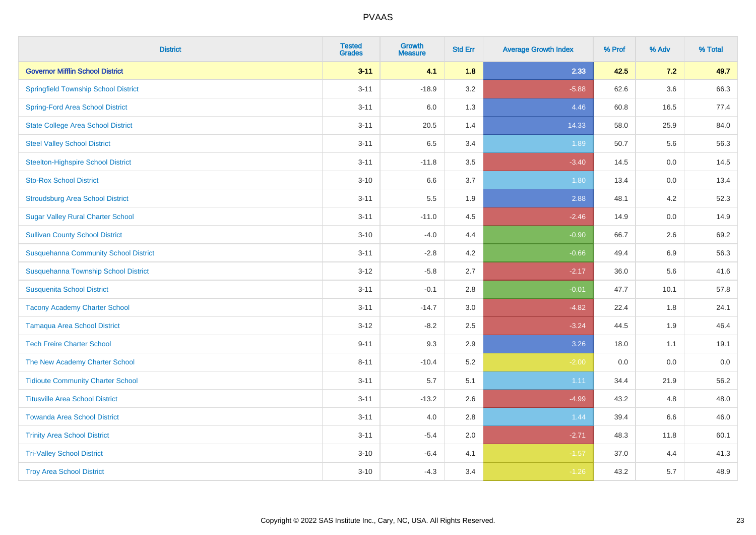| <b>District</b>                              | <b>Tested</b><br><b>Grades</b> | <b>Growth</b><br><b>Measure</b> | <b>Std Err</b> | <b>Average Growth Index</b> | % Prof | % Adv   | % Total |
|----------------------------------------------|--------------------------------|---------------------------------|----------------|-----------------------------|--------|---------|---------|
| <b>Governor Mifflin School District</b>      | $3 - 11$                       | 4.1                             | 1.8            | 2.33                        | 42.5   | 7.2     | 49.7    |
| <b>Springfield Township School District</b>  | $3 - 11$                       | $-18.9$                         | 3.2            | $-5.88$                     | 62.6   | $3.6\,$ | 66.3    |
| <b>Spring-Ford Area School District</b>      | $3 - 11$                       | 6.0                             | 1.3            | 4.46                        | 60.8   | 16.5    | 77.4    |
| <b>State College Area School District</b>    | $3 - 11$                       | 20.5                            | 1.4            | 14.33                       | 58.0   | 25.9    | 84.0    |
| <b>Steel Valley School District</b>          | $3 - 11$                       | 6.5                             | 3.4            | 1.89                        | 50.7   | 5.6     | 56.3    |
| <b>Steelton-Highspire School District</b>    | $3 - 11$                       | $-11.8$                         | 3.5            | $-3.40$                     | 14.5   | 0.0     | 14.5    |
| <b>Sto-Rox School District</b>               | $3 - 10$                       | 6.6                             | 3.7            | 1.80                        | 13.4   | 0.0     | 13.4    |
| <b>Stroudsburg Area School District</b>      | $3 - 11$                       | 5.5                             | 1.9            | 2.88                        | 48.1   | 4.2     | 52.3    |
| <b>Sugar Valley Rural Charter School</b>     | $3 - 11$                       | $-11.0$                         | 4.5            | $-2.46$                     | 14.9   | 0.0     | 14.9    |
| <b>Sullivan County School District</b>       | $3 - 10$                       | $-4.0$                          | 4.4            | $-0.90$                     | 66.7   | $2.6\,$ | 69.2    |
| <b>Susquehanna Community School District</b> | $3 - 11$                       | $-2.8$                          | 4.2            | $-0.66$                     | 49.4   | 6.9     | 56.3    |
| Susquehanna Township School District         | $3 - 12$                       | $-5.8$                          | 2.7            | $-2.17$                     | 36.0   | 5.6     | 41.6    |
| <b>Susquenita School District</b>            | $3 - 11$                       | $-0.1$                          | 2.8            | $-0.01$                     | 47.7   | 10.1    | 57.8    |
| <b>Tacony Academy Charter School</b>         | $3 - 11$                       | $-14.7$                         | 3.0            | $-4.82$                     | 22.4   | 1.8     | 24.1    |
| <b>Tamaqua Area School District</b>          | $3 - 12$                       | $-8.2$                          | 2.5            | $-3.24$                     | 44.5   | 1.9     | 46.4    |
| <b>Tech Freire Charter School</b>            | $9 - 11$                       | 9.3                             | 2.9            | 3.26                        | 18.0   | 1.1     | 19.1    |
| The New Academy Charter School               | $8 - 11$                       | $-10.4$                         | 5.2            | $-2.00$                     | 0.0    | 0.0     | $0.0\,$ |
| <b>Tidioute Community Charter School</b>     | $3 - 11$                       | 5.7                             | 5.1            | 1.11                        | 34.4   | 21.9    | 56.2    |
| <b>Titusville Area School District</b>       | $3 - 11$                       | $-13.2$                         | 2.6            | $-4.99$                     | 43.2   | 4.8     | 48.0    |
| <b>Towanda Area School District</b>          | $3 - 11$                       | 4.0                             | 2.8            | 1.44                        | 39.4   | 6.6     | 46.0    |
| <b>Trinity Area School District</b>          | $3 - 11$                       | $-5.4$                          | 2.0            | $-2.71$                     | 48.3   | 11.8    | 60.1    |
| <b>Tri-Valley School District</b>            | $3 - 10$                       | $-6.4$                          | 4.1            | $-1.57$                     | 37.0   | 4.4     | 41.3    |
| <b>Troy Area School District</b>             | $3 - 10$                       | $-4.3$                          | 3.4            | $-1.26$                     | 43.2   | 5.7     | 48.9    |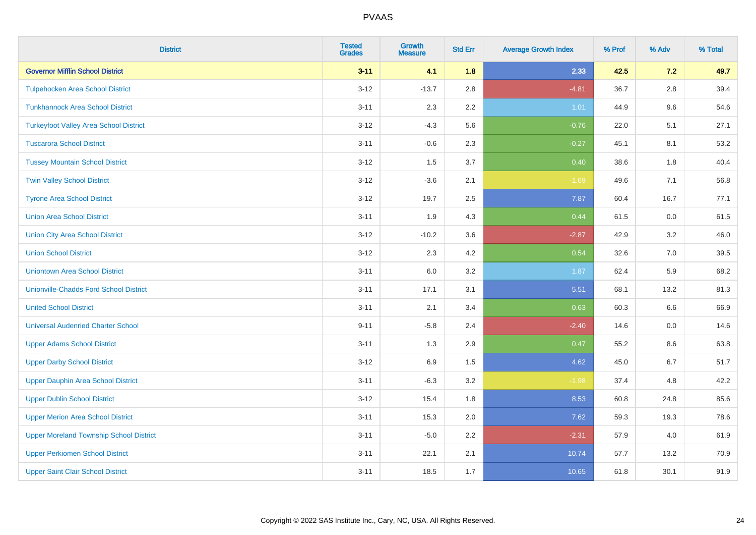| <b>District</b>                                | <b>Tested</b><br><b>Grades</b> | <b>Growth</b><br><b>Measure</b> | <b>Std Err</b> | <b>Average Growth Index</b> | % Prof | % Adv   | % Total |
|------------------------------------------------|--------------------------------|---------------------------------|----------------|-----------------------------|--------|---------|---------|
| <b>Governor Mifflin School District</b>        | $3 - 11$                       | 4.1                             | 1.8            | 2.33                        | 42.5   | 7.2     | 49.7    |
| <b>Tulpehocken Area School District</b>        | $3 - 12$                       | $-13.7$                         | 2.8            | $-4.81$                     | 36.7   | $2.8\,$ | 39.4    |
| <b>Tunkhannock Area School District</b>        | $3 - 11$                       | 2.3                             | 2.2            | 1.01                        | 44.9   | 9.6     | 54.6    |
| <b>Turkeyfoot Valley Area School District</b>  | $3 - 12$                       | $-4.3$                          | 5.6            | $-0.76$                     | 22.0   | 5.1     | 27.1    |
| <b>Tuscarora School District</b>               | $3 - 11$                       | $-0.6$                          | 2.3            | $-0.27$                     | 45.1   | 8.1     | 53.2    |
| <b>Tussey Mountain School District</b>         | $3 - 12$                       | 1.5                             | 3.7            | 0.40                        | 38.6   | 1.8     | 40.4    |
| <b>Twin Valley School District</b>             | $3 - 12$                       | $-3.6$                          | 2.1            | $-1.69$                     | 49.6   | 7.1     | 56.8    |
| <b>Tyrone Area School District</b>             | $3 - 12$                       | 19.7                            | 2.5            | 7.87                        | 60.4   | 16.7    | 77.1    |
| <b>Union Area School District</b>              | $3 - 11$                       | 1.9                             | 4.3            | 0.44                        | 61.5   | 0.0     | 61.5    |
| <b>Union City Area School District</b>         | $3 - 12$                       | $-10.2$                         | 3.6            | $-2.87$                     | 42.9   | 3.2     | 46.0    |
| <b>Union School District</b>                   | $3 - 12$                       | 2.3                             | 4.2            | 0.54                        | 32.6   | 7.0     | 39.5    |
| <b>Uniontown Area School District</b>          | $3 - 11$                       | 6.0                             | 3.2            | 1.87                        | 62.4   | 5.9     | 68.2    |
| <b>Unionville-Chadds Ford School District</b>  | $3 - 11$                       | 17.1                            | 3.1            | 5.51                        | 68.1   | 13.2    | 81.3    |
| <b>United School District</b>                  | $3 - 11$                       | 2.1                             | 3.4            | 0.63                        | 60.3   | 6.6     | 66.9    |
| <b>Universal Audenried Charter School</b>      | $9 - 11$                       | $-5.8$                          | 2.4            | $-2.40$                     | 14.6   | 0.0     | 14.6    |
| <b>Upper Adams School District</b>             | $3 - 11$                       | 1.3                             | 2.9            | 0.47                        | 55.2   | $8.6\,$ | 63.8    |
| <b>Upper Darby School District</b>             | $3 - 12$                       | 6.9                             | 1.5            | 4.62                        | 45.0   | 6.7     | 51.7    |
| <b>Upper Dauphin Area School District</b>      | $3 - 11$                       | $-6.3$                          | $3.2\,$        | $-1.98$                     | 37.4   | 4.8     | 42.2    |
| <b>Upper Dublin School District</b>            | $3 - 12$                       | 15.4                            | 1.8            | 8.53                        | 60.8   | 24.8    | 85.6    |
| <b>Upper Merion Area School District</b>       | $3 - 11$                       | 15.3                            | 2.0            | 7.62                        | 59.3   | 19.3    | 78.6    |
| <b>Upper Moreland Township School District</b> | $3 - 11$                       | $-5.0$                          | 2.2            | $-2.31$                     | 57.9   | 4.0     | 61.9    |
| <b>Upper Perkiomen School District</b>         | $3 - 11$                       | 22.1                            | 2.1            | 10.74                       | 57.7   | 13.2    | 70.9    |
| <b>Upper Saint Clair School District</b>       | $3 - 11$                       | 18.5                            | 1.7            | 10.65                       | 61.8   | 30.1    | 91.9    |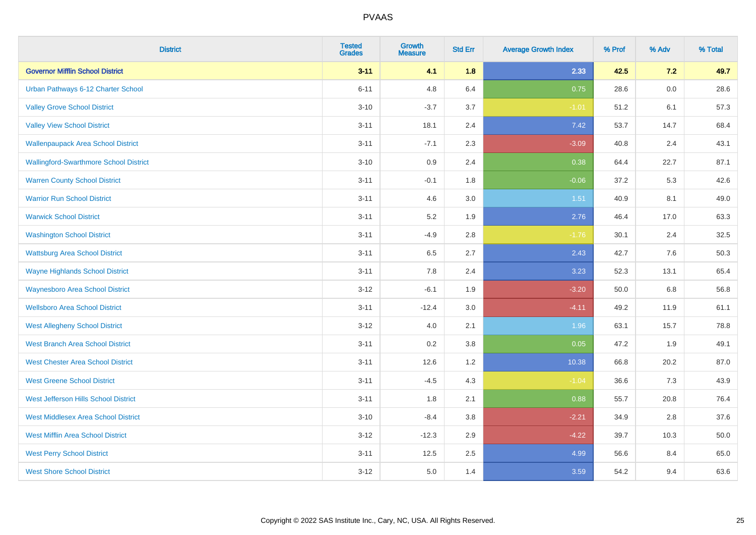| <b>District</b>                               | <b>Tested</b><br><b>Grades</b> | <b>Growth</b><br><b>Measure</b> | <b>Std Err</b> | <b>Average Growth Index</b> | % Prof | % Adv   | % Total |
|-----------------------------------------------|--------------------------------|---------------------------------|----------------|-----------------------------|--------|---------|---------|
| <b>Governor Mifflin School District</b>       | $3 - 11$                       | 4.1                             | 1.8            | 2.33                        | 42.5   | 7.2     | 49.7    |
| Urban Pathways 6-12 Charter School            | $6 - 11$                       | 4.8                             | 6.4            | 0.75                        | 28.6   | $0.0\,$ | 28.6    |
| <b>Valley Grove School District</b>           | $3 - 10$                       | $-3.7$                          | 3.7            | $-1.01$                     | 51.2   | 6.1     | 57.3    |
| <b>Valley View School District</b>            | $3 - 11$                       | 18.1                            | 2.4            | 7.42                        | 53.7   | 14.7    | 68.4    |
| <b>Wallenpaupack Area School District</b>     | $3 - 11$                       | $-7.1$                          | 2.3            | $-3.09$                     | 40.8   | 2.4     | 43.1    |
| <b>Wallingford-Swarthmore School District</b> | $3 - 10$                       | 0.9                             | 2.4            | 0.38                        | 64.4   | 22.7    | 87.1    |
| <b>Warren County School District</b>          | $3 - 11$                       | $-0.1$                          | 1.8            | $-0.06$                     | 37.2   | 5.3     | 42.6    |
| <b>Warrior Run School District</b>            | $3 - 11$                       | 4.6                             | 3.0            | 1.51                        | 40.9   | 8.1     | 49.0    |
| <b>Warwick School District</b>                | $3 - 11$                       | 5.2                             | 1.9            | 2.76                        | 46.4   | 17.0    | 63.3    |
| <b>Washington School District</b>             | $3 - 11$                       | $-4.9$                          | $2.8\,$        | $-1.76$                     | 30.1   | 2.4     | 32.5    |
| <b>Wattsburg Area School District</b>         | $3 - 11$                       | 6.5                             | 2.7            | 2.43                        | 42.7   | 7.6     | 50.3    |
| <b>Wayne Highlands School District</b>        | $3 - 11$                       | 7.8                             | 2.4            | 3.23                        | 52.3   | 13.1    | 65.4    |
| <b>Waynesboro Area School District</b>        | $3 - 12$                       | $-6.1$                          | 1.9            | $-3.20$                     | 50.0   | $6.8\,$ | 56.8    |
| <b>Wellsboro Area School District</b>         | $3 - 11$                       | $-12.4$                         | 3.0            | $-4.11$                     | 49.2   | 11.9    | 61.1    |
| <b>West Allegheny School District</b>         | $3 - 12$                       | 4.0                             | 2.1            | 1.96                        | 63.1   | 15.7    | 78.8    |
| <b>West Branch Area School District</b>       | $3 - 11$                       | 0.2                             | 3.8            | 0.05                        | 47.2   | 1.9     | 49.1    |
| <b>West Chester Area School District</b>      | $3 - 11$                       | 12.6                            | 1.2            | 10.38                       | 66.8   | 20.2    | 87.0    |
| <b>West Greene School District</b>            | $3 - 11$                       | $-4.5$                          | 4.3            | $-1.04$                     | 36.6   | 7.3     | 43.9    |
| West Jefferson Hills School District          | $3 - 11$                       | 1.8                             | 2.1            | 0.88                        | 55.7   | 20.8    | 76.4    |
| <b>West Middlesex Area School District</b>    | $3 - 10$                       | $-8.4$                          | 3.8            | $-2.21$                     | 34.9   | 2.8     | 37.6    |
| <b>West Mifflin Area School District</b>      | $3 - 12$                       | $-12.3$                         | 2.9            | $-4.22$                     | 39.7   | 10.3    | 50.0    |
| <b>West Perry School District</b>             | $3 - 11$                       | 12.5                            | 2.5            | 4.99                        | 56.6   | 8.4     | 65.0    |
| <b>West Shore School District</b>             | $3 - 12$                       | 5.0                             | 1.4            | 3.59                        | 54.2   | 9.4     | 63.6    |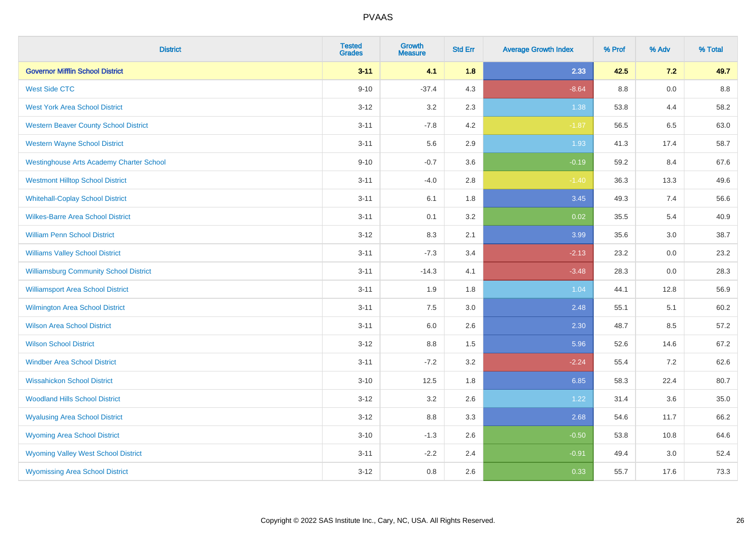| <b>District</b>                                 | <b>Tested</b><br><b>Grades</b> | <b>Growth</b><br><b>Measure</b> | <b>Std Err</b> | <b>Average Growth Index</b> | % Prof | % Adv | % Total |
|-------------------------------------------------|--------------------------------|---------------------------------|----------------|-----------------------------|--------|-------|---------|
| <b>Governor Mifflin School District</b>         | $3 - 11$                       | 4.1                             | 1.8            | 2.33                        | 42.5   | 7.2   | 49.7    |
| <b>West Side CTC</b>                            | $9 - 10$                       | $-37.4$                         | 4.3            | $-8.64$                     | 8.8    | 0.0   | $8.8\,$ |
| <b>West York Area School District</b>           | $3 - 12$                       | 3.2                             | 2.3            | 1.38                        | 53.8   | 4.4   | 58.2    |
| <b>Western Beaver County School District</b>    | $3 - 11$                       | $-7.8$                          | 4.2            | $-1.87$                     | 56.5   | 6.5   | 63.0    |
| <b>Western Wayne School District</b>            | $3 - 11$                       | 5.6                             | 2.9            | 1.93                        | 41.3   | 17.4  | 58.7    |
| <b>Westinghouse Arts Academy Charter School</b> | $9 - 10$                       | $-0.7$                          | 3.6            | $-0.19$                     | 59.2   | 8.4   | 67.6    |
| <b>Westmont Hilltop School District</b>         | $3 - 11$                       | $-4.0$                          | 2.8            | $-1.40$                     | 36.3   | 13.3  | 49.6    |
| <b>Whitehall-Coplay School District</b>         | $3 - 11$                       | 6.1                             | 1.8            | 3.45                        | 49.3   | 7.4   | 56.6    |
| <b>Wilkes-Barre Area School District</b>        | $3 - 11$                       | 0.1                             | 3.2            | 0.02                        | 35.5   | 5.4   | 40.9    |
| <b>William Penn School District</b>             | $3 - 12$                       | 8.3                             | 2.1            | 3.99                        | 35.6   | 3.0   | 38.7    |
| <b>Williams Valley School District</b>          | $3 - 11$                       | $-7.3$                          | 3.4            | $-2.13$                     | 23.2   | 0.0   | 23.2    |
| <b>Williamsburg Community School District</b>   | $3 - 11$                       | $-14.3$                         | 4.1            | $-3.48$                     | 28.3   | 0.0   | 28.3    |
| <b>Williamsport Area School District</b>        | $3 - 11$                       | 1.9                             | 1.8            | 1.04                        | 44.1   | 12.8  | 56.9    |
| Wilmington Area School District                 | $3 - 11$                       | 7.5                             | 3.0            | 2.48                        | 55.1   | 5.1   | 60.2    |
| <b>Wilson Area School District</b>              | $3 - 11$                       | 6.0                             | 2.6            | 2.30                        | 48.7   | 8.5   | 57.2    |
| <b>Wilson School District</b>                   | $3 - 12$                       | $8.8\,$                         | 1.5            | 5.96                        | 52.6   | 14.6  | 67.2    |
| <b>Windber Area School District</b>             | $3 - 11$                       | $-7.2$                          | 3.2            | $-2.24$                     | 55.4   | 7.2   | 62.6    |
| <b>Wissahickon School District</b>              | $3 - 10$                       | 12.5                            | 1.8            | 6.85                        | 58.3   | 22.4  | 80.7    |
| <b>Woodland Hills School District</b>           | $3 - 12$                       | 3.2                             | 2.6            | 1.22                        | 31.4   | 3.6   | 35.0    |
| <b>Wyalusing Area School District</b>           | $3 - 12$                       | 8.8                             | 3.3            | 2.68                        | 54.6   | 11.7  | 66.2    |
| <b>Wyoming Area School District</b>             | $3 - 10$                       | $-1.3$                          | 2.6            | $-0.50$                     | 53.8   | 10.8  | 64.6    |
| <b>Wyoming Valley West School District</b>      | $3 - 11$                       | $-2.2$                          | 2.4            | $-0.91$                     | 49.4   | 3.0   | 52.4    |
| <b>Wyomissing Area School District</b>          | $3 - 12$                       | 0.8                             | 2.6            | 0.33                        | 55.7   | 17.6  | 73.3    |